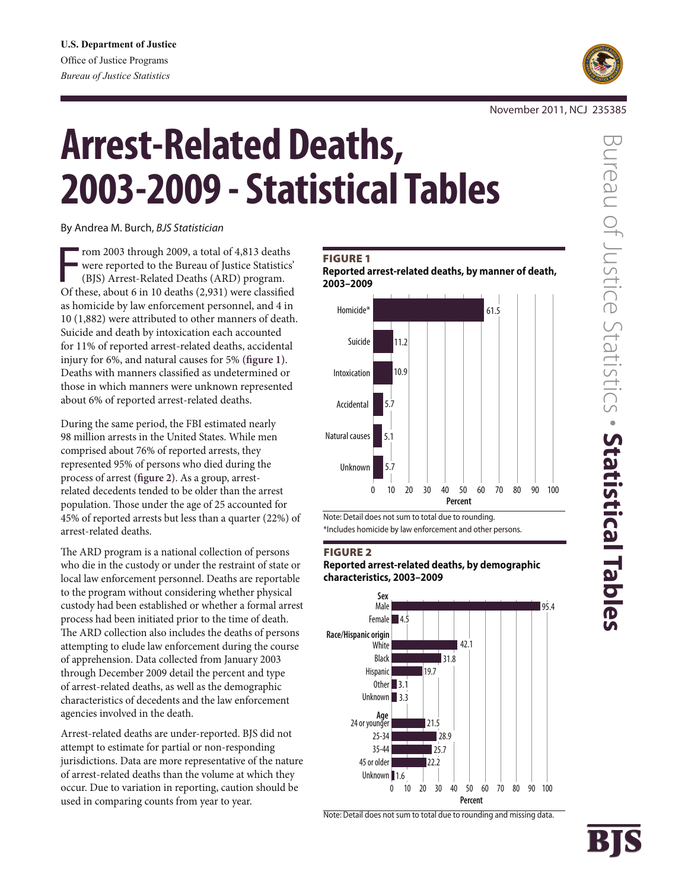

#### November 2011, NCJ 235385

# **Arrest-Related Deaths, 2003-2009 - Statistical Tables**

By Andrea M. Burch, *BJS Statistician*

From 2003 through 2009, a total of 4,813 deaths<br>
were reported to the Bureau of Justice Statistics<br>
(BJS) Arrest-Related Deaths (ARD) program.<br>
Of these, about 6 in 10 deaths (2,931) were classified rom 2003 through 2009, a total of 4,813 deaths were reported to the Bureau of Justice Statistics' (BJS) Arrest-Related Deaths (ARD) program. as homicide by law enforcement personnel, and 4 in 10 (1,882) were attributed to other manners of death. Suicide and death by intoxication each accounted for 11% of reported arrest-related deaths, accidental injury for 6%, and natural causes for 5% **(figure 1)**. Deaths with manners classified as undetermined or those in which manners were unknown represented about 6% of reported arrest-related deaths.

During the same period, the FBI estimated nearly 98 million arrests in the United States. While men comprised about 76% of reported arrests, they represented 95% of persons who died during the process of arrest **(figure 2)**. As a group, arrestrelated decedents tended to be older than the arrest population. Those under the age of 25 accounted for 45% of reported arrests but less than a quarter (22%) of arrest-related deaths.

The ARD program is a national collection of persons who die in the custody or under the restraint of state or local law enforcement personnel. Deaths are reportable to the program without considering whether physical custody had been established or whether a formal arrest process had been initiated prior to the time of death. The ARD collection also includes the deaths of persons attempting to elude law enforcement during the course of apprehension. Data collected from January 2003 through December 2009 detail the percent and type of arrest-related deaths, as well as the demographic characteristics of decedents and the law enforcement agencies involved in the death.

Arrest-related deaths are under-reported. BJS did not attempt to estimate for partial or non-responding jurisdictions. Data are more representative of the nature of arrest-related deaths than the volume at which they occur. Due to variation in reporting, caution should be used in comparing counts from year to year.

#### **FIGURE 1**

**Reported arrest-related deaths, by manner of death, 2003–2009**



Note: Detail does not sum to total due to rounding. \*Includes homicide by law enforcement and other persons.

#### Figure 2

**Reported arrest-related deaths, by demographic characteristics, 2003–2009**



Note: Detail does not sum to total due to rounding and missing data.

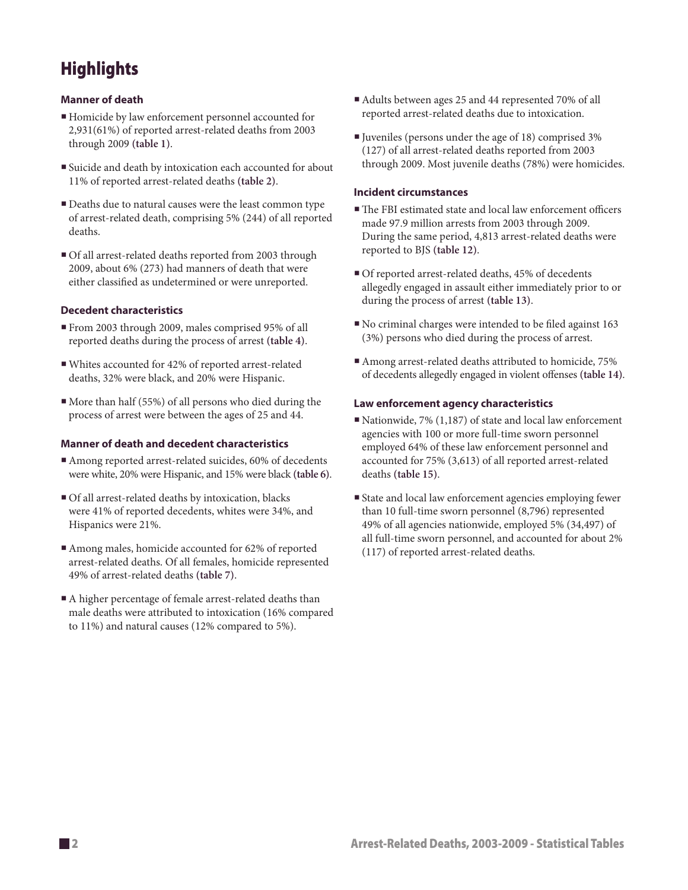# **Highlights**

#### **Manner of death**

- Homicide by law enforcement personnel accounted for 2,931(61%) of reported arrest-related deaths from 2003 through 2009 **(table 1)**.
- Suicide and death by intoxication each accounted for about 11% of reported arrest-related deaths **(table 2)**.
- Deaths due to natural causes were the least common type of arrest-related death, comprising 5% (244) of all reported deaths.
- Of all arrest-related deaths reported from 2003 through 2009, about 6% (273) had manners of death that were either classified as undetermined or were unreported.

#### **Decedent characteristics**

- From 2003 through 2009, males comprised 95% of all reported deaths during the process of arrest **(table 4)**.
- Whites accounted for 42% of reported arrest-related deaths, 32% were black, and 20% were Hispanic.
- More than half (55%) of all persons who died during the process of arrest were between the ages of 25 and 44.

#### **Manner of death and decedent characteristics**

- Among reported arrest-related suicides, 60% of decedents were white, 20% were Hispanic, and 15% were black **(table 6)**.
- Of all arrest-related deaths by intoxication, blacks were 41% of reported decedents, whites were 34%, and Hispanics were 21%.
- Among males, homicide accounted for 62% of reported arrest-related deaths. Of all females, homicide represented 49% of arrest-related deaths **(table 7)**.
- A higher percentage of female arrest-related deaths than male deaths were attributed to intoxication (16% compared to 11%) and natural causes (12% compared to 5%).
- Adults between ages 25 and 44 represented 70% of all reported arrest-related deaths due to intoxication.
- Juveniles (persons under the age of 18) comprised 3% (127) of all arrest-related deaths reported from 2003 through 2009. Most juvenile deaths (78%) were homicides.

#### **Incident circumstances**

- The FBI estimated state and local law enforcement officers made 97.9 million arrests from 2003 through 2009. During the same period, 4,813 arrest-related deaths were reported to BJS **(table 12)**.
- Of reported arrest-related deaths, 45% of decedents allegedly engaged in assault either immediately prior to or during the process of arrest **(table 13)**.
- No criminal charges were intended to be filed against 163 (3%) persons who died during the process of arrest.
- Among arrest-related deaths attributed to homicide, 75% of decedents allegedly engaged in violent offenses **(table 14)**.

#### **Law enforcement agency characteristics**

- Nationwide, 7%  $(1,187)$  of state and local law enforcement agencies with 100 or more full-time sworn personnel employed 64% of these law enforcement personnel and accounted for 75% (3,613) of all reported arrest-related deaths **(table 15)**.
- State and local law enforcement agencies employing fewer than 10 full-time sworn personnel (8,796) represented 49% of all agencies nationwide, employed 5% (34,497) of all full-time sworn personnel, and accounted for about 2% (117) of reported arrest-related deaths.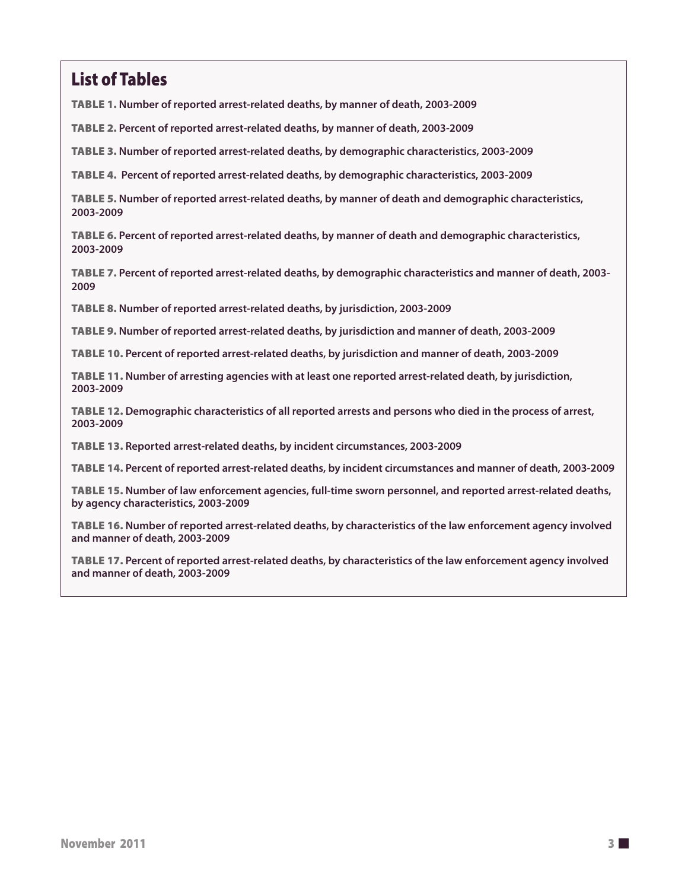# List of Tables

Table 1. **Number of reported arrest-related deaths, by manner of death, 2003-2009**

Table 2. **Percent of reported arrest-related deaths, by manner of death, 2003-2009**

Table 3. **Number of reported arrest-related deaths, by demographic characteristics, 2003-2009**

Table 4. **Percent of reported arrest-related deaths, by demographic characteristics, 2003-2009**

Table 5. **Number of reported arrest-related deaths, by manner of death and demographic characteristics, 2003-2009**

Table 6. **Percent of reported arrest-related deaths, by manner of death and demographic characteristics, 2003-2009**

Table 7. **Percent of reported arrest-related deaths, by demographic characteristics and manner of death, 2003- 2009**

Table 8. **Number of reported arrest-related deaths, by jurisdiction, 2003-2009**

Table 9. **Number of reported arrest-related deaths, by jurisdiction and manner of death, 2003-2009**

Table 10. **Percent of reported arrest-related deaths, by jurisdiction and manner of death, 2003-2009**

Table 11. **Number of arresting agencies with at least one reported arrest-related death, by jurisdiction, 2003-2009**

Table 12. **Demographic characteristics of all reported arrests and persons who died in the process of arrest, 2003-2009**

Table 13. **Reported arrest-related deaths, by incident circumstances, 2003-2009**

Table 14. **Percent of reported arrest-related deaths, by incident circumstances and manner of death, 2003-2009**

Table 15. **Number of law enforcement agencies, full-time sworn personnel, and reported arrest-related deaths, by agency characteristics, 2003-2009**

Table 16. **Number of reported arrest-related deaths, by characteristics of the law enforcement agency involved and manner of death, 2003-2009**

Table 17. **Percent of reported arrest-related deaths, by characteristics of the law enforcement agency involved and manner of death, 2003-2009**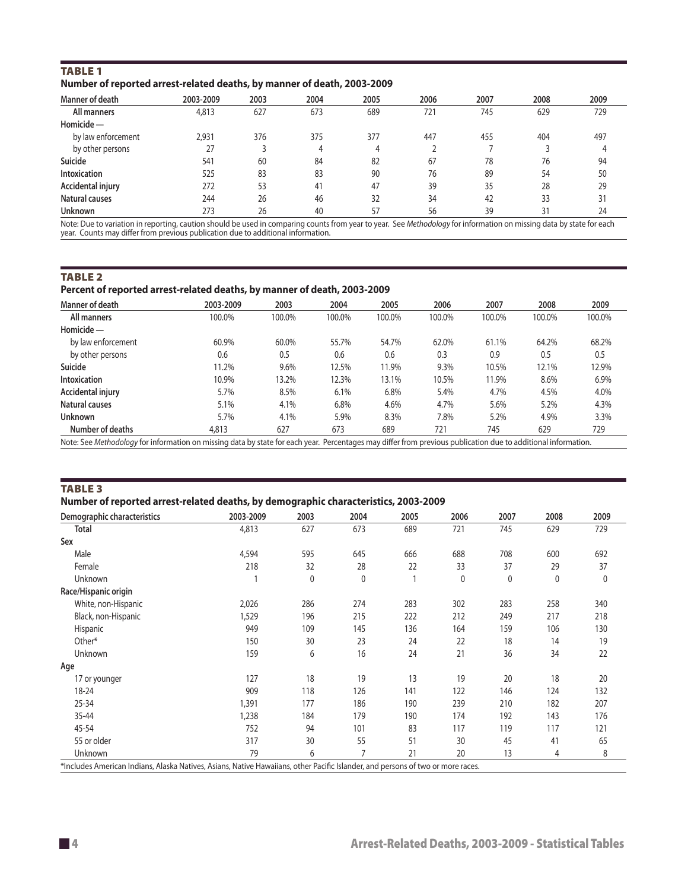| <b>TABLE 1</b>                                                          |  |  |
|-------------------------------------------------------------------------|--|--|
| Number of reported arrest-related deaths, by manner of death, 2003-2009 |  |  |

| Manner of death     | 2003-2009 | 2003 | 2004 | 2005 | 2006 | 2007 | 2008 | 2009 |
|---------------------|-----------|------|------|------|------|------|------|------|
| All manners         | 4,813     | 627  | 673  | 689  | 721  | 745  | 629  | 729  |
| Homicide-           |           |      |      |      |      |      |      |      |
| by law enforcement  | 2,931     | 376  | 375  | 377  | 447  | 455  | 404  | 497  |
| by other persons    | 27        |      | 4    | 4    |      |      |      | 4    |
| Suicide             | 541       | 60   | 84   | 82   | 67   | 78   | 76   | 94   |
| <b>Intoxication</b> | 525       | 83   | 83   | 90   | 76   | 89   | 54   | 50   |
| Accidental injury   | 272       | 53   | 41   | 47   | 39   | 35   | 28   | 29   |
| Natural causes      | 244       | 26   | 46   | 32   | 34   | 42   | 33   | 31   |
| <b>Unknown</b>      | 273       | 26   | 40   | 57   | 56   | 39   | 31   | 24   |

Note: Due to variation in reporting, caution should be used in comparing counts from year to year. See *Methodology* for information on missing data by state for each year. Counts may differ from previous publication due to additional information.

TABLE<sub>2</sub>

#### **Percent of reported arrest-related deaths, by manner of death, 2003-2009**

| Manner of death     | 2003-2009 | 2003   | 2004   | 2005   | 2006   | 2007   | 2008   | 2009   |
|---------------------|-----------|--------|--------|--------|--------|--------|--------|--------|
| All manners         | 100.0%    | 100.0% | 100.0% | 100.0% | 100.0% | 100.0% | 100.0% | 100.0% |
| $H$ omicide —       |           |        |        |        |        |        |        |        |
| by law enforcement  | 60.9%     | 60.0%  | 55.7%  | 54.7%  | 62.0%  | 61.1%  | 64.2%  | 68.2%  |
| by other persons    | 0.6       | 0.5    | 0.6    | 0.6    | 0.3    | 0.9    | 0.5    | 0.5    |
| Suicide             | 11.2%     | 9.6%   | 12.5%  | 11.9%  | 9.3%   | 10.5%  | 12.1%  | 12.9%  |
| <b>Intoxication</b> | 10.9%     | 13.2%  | 12.3%  | 13.1%  | 10.5%  | 11.9%  | 8.6%   | 6.9%   |
| Accidental injury   | 5.7%      | 8.5%   | 6.1%   | 6.8%   | 5.4%   | 4.7%   | 4.5%   | 4.0%   |
| Natural causes      | 5.1%      | 4.1%   | 6.8%   | 4.6%   | 4.7%   | 5.6%   | 5.2%   | 4.3%   |
| <b>Unknown</b>      | 5.7%      | 4.1%   | 5.9%   | 8.3%   | 7.8%   | 5.2%   | 4.9%   | 3.3%   |
| Number of deaths    | 4,813     | 627    | 673    | 689    | 721    | 745    | 629    | 729    |

Note: See *Methodology* for information on missing data by state for each year. Percentages may differ from previous publication due to additional information.

TABLE<sub>3</sub>

#### **Number of reported arrest-related deaths, by demographic characteristics, 2003-2009**

| Demographic characteristics | 2003-2009 | 2003         | 2004 | 2005 | 2006         | 2007 | 2008 | 2009 |
|-----------------------------|-----------|--------------|------|------|--------------|------|------|------|
| <b>Total</b>                | 4,813     | 627          | 673  | 689  | 721          | 745  | 629  | 729  |
| Sex                         |           |              |      |      |              |      |      |      |
| Male                        | 4,594     | 595          | 645  | 666  | 688          | 708  | 600  | 692  |
| Female                      | 218       | 32           | 28   | 22   | 33           | 37   | 29   | 37   |
| Unknown                     |           | $\mathbf{0}$ | 0    |      | $\mathbf{0}$ | 0    | 0    | 0    |
| Race/Hispanic origin        |           |              |      |      |              |      |      |      |
| White, non-Hispanic         | 2,026     | 286          | 274  | 283  | 302          | 283  | 258  | 340  |
| Black, non-Hispanic         | 1,529     | 196          | 215  | 222  | 212          | 249  | 217  | 218  |
| Hispanic                    | 949       | 109          | 145  | 136  | 164          | 159  | 106  | 130  |
| Other*                      | 150       | 30           | 23   | 24   | 22           | 18   | 14   | 19   |
| Unknown                     | 159       | 6            | 16   | 24   | 21           | 36   | 34   | 22   |
| Age                         |           |              |      |      |              |      |      |      |
| 17 or younger               | 127       | 18           | 19   | 13   | 19           | 20   | 18   | 20   |
| 18-24                       | 909       | 118          | 126  | 141  | 122          | 146  | 124  | 132  |
| 25-34                       | 1,391     | 177          | 186  | 190  | 239          | 210  | 182  | 207  |
| 35-44                       | 1,238     | 184          | 179  | 190  | 174          | 192  | 143  | 176  |
| 45-54                       | 752       | 94           | 101  | 83   | 117          | 119  | 117  | 121  |
| 55 or older                 | 317       | 30           | 55   | 51   | 30           | 45   | 41   | 65   |
| Unknown                     | 79        | 6            | 7    | 21   | 20           | 13   | 4    | 8    |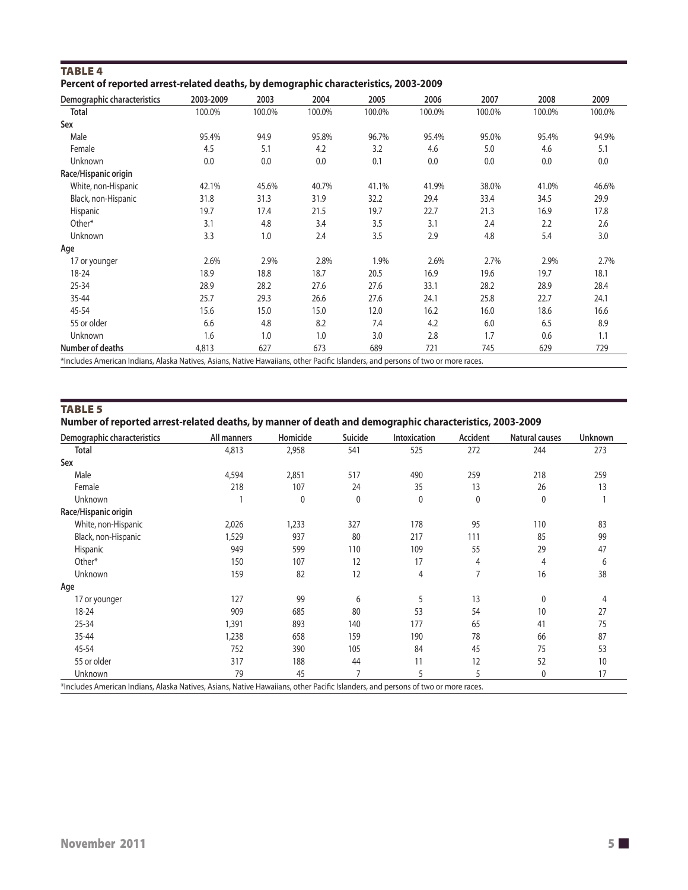| TABLE 4                                                                              |  |
|--------------------------------------------------------------------------------------|--|
| Percent of reported arrest-related deaths, by demographic characteristics, 2003-2009 |  |

| Demographic characteristics | 2003-2009 | 2003   | 2004   | 2005   | 2006   | 2007   | 2008   | 2009   |
|-----------------------------|-----------|--------|--------|--------|--------|--------|--------|--------|
| Total                       | 100.0%    | 100.0% | 100.0% | 100.0% | 100.0% | 100.0% | 100.0% | 100.0% |
| Sex                         |           |        |        |        |        |        |        |        |
| Male                        | 95.4%     | 94.9   | 95.8%  | 96.7%  | 95.4%  | 95.0%  | 95.4%  | 94.9%  |
| Female                      | 4.5       | 5.1    | 4.2    | 3.2    | 4.6    | 5.0    | 4.6    | 5.1    |
| Unknown                     | 0.0       | 0.0    | 0.0    | 0.1    | 0.0    | 0.0    | 0.0    | 0.0    |
| Race/Hispanic origin        |           |        |        |        |        |        |        |        |
| White, non-Hispanic         | 42.1%     | 45.6%  | 40.7%  | 41.1%  | 41.9%  | 38.0%  | 41.0%  | 46.6%  |
| Black, non-Hispanic         | 31.8      | 31.3   | 31.9   | 32.2   | 29.4   | 33.4   | 34.5   | 29.9   |
| Hispanic                    | 19.7      | 17.4   | 21.5   | 19.7   | 22.7   | 21.3   | 16.9   | 17.8   |
| Other*                      | 3.1       | 4.8    | 3.4    | 3.5    | 3.1    | 2.4    | 2.2    | 2.6    |
| Unknown                     | 3.3       | 1.0    | 2.4    | 3.5    | 2.9    | 4.8    | 5.4    | 3.0    |
| Age                         |           |        |        |        |        |        |        |        |
| 17 or younger               | 2.6%      | 2.9%   | 2.8%   | 1.9%   | 2.6%   | 2.7%   | 2.9%   | 2.7%   |
| 18-24                       | 18.9      | 18.8   | 18.7   | 20.5   | 16.9   | 19.6   | 19.7   | 18.1   |
| $25 - 34$                   | 28.9      | 28.2   | 27.6   | 27.6   | 33.1   | 28.2   | 28.9   | 28.4   |
| 35-44                       | 25.7      | 29.3   | 26.6   | 27.6   | 24.1   | 25.8   | 22.7   | 24.1   |
| 45-54                       | 15.6      | 15.0   | 15.0   | 12.0   | 16.2   | 16.0   | 18.6   | 16.6   |
| 55 or older                 | 6.6       | 4.8    | 8.2    | 7.4    | 4.2    | 6.0    | 6.5    | 8.9    |
| Unknown                     | 1.6       | 1.0    | 1.0    | 3.0    | 2.8    | 1.7    | 0.6    | 1.1    |
| Number of deaths            | 4,813     | 627    | 673    | 689    | 721    | 745    | 629    | 729    |

\*Includes American Indians, Alaska Natives, Asians, Native Hawaiians, other Pacific Islanders, and persons of two or more races.

### TABLE<sub>5</sub>

#### **Number of reported arrest-related deaths, by manner of death and demographic characteristics, 2003-2009**

| Demographic characteristics | All manners | Homicide    | Suicide | Intoxication | Accident     | <b>Natural causes</b> | Unknown |
|-----------------------------|-------------|-------------|---------|--------------|--------------|-----------------------|---------|
| <b>Total</b>                | 4,813       | 2,958       | 541     | 525          | 272          | 244                   | 273     |
| Sex                         |             |             |         |              |              |                       |         |
| Male                        | 4,594       | 2,851       | 517     | 490          | 259          | 218                   | 259     |
| Female                      | 218         | 107         | 24      | 35           | 13           | 26                    | 13      |
| Unknown                     |             | $\mathbf 0$ | 0       | $\mathbf 0$  | $\mathbf{0}$ | $\mathbf{0}$          |         |
| Race/Hispanic origin        |             |             |         |              |              |                       |         |
| White, non-Hispanic         | 2,026       | 1,233       | 327     | 178          | 95           | 110                   | 83      |
| Black, non-Hispanic         | 1,529       | 937         | 80      | 217          | 111          | 85                    | 99      |
| Hispanic                    | 949         | 599         | 110     | 109          | 55           | 29                    | 47      |
| Other*                      | 150         | 107         | 12      | 17           | 4            | 4                     | 6       |
| Unknown                     | 159         | 82          | 12      | 4            | 7            | 16                    | 38      |
| Age                         |             |             |         |              |              |                       |         |
| 17 or younger               | 127         | 99          | 6       | 5            | 13           | $\mathbf{0}$          |         |
| $18 - 24$                   | 909         | 685         | 80      | 53           | 54           | 10                    | 27      |
| $25 - 34$                   | 1,391       | 893         | 140     | 177          | 65           | 41                    | 75      |
| 35-44                       | 1,238       | 658         | 159     | 190          | 78           | 66                    | 87      |
| 45-54                       | 752         | 390         | 105     | 84           | 45           | 75                    | 53      |
| 55 or older                 | 317         | 188         | 44      | 11           | 12           | 52                    | 10      |
| Unknown                     | 79          | 45          |         | 5            | 5            | 0                     | 17      |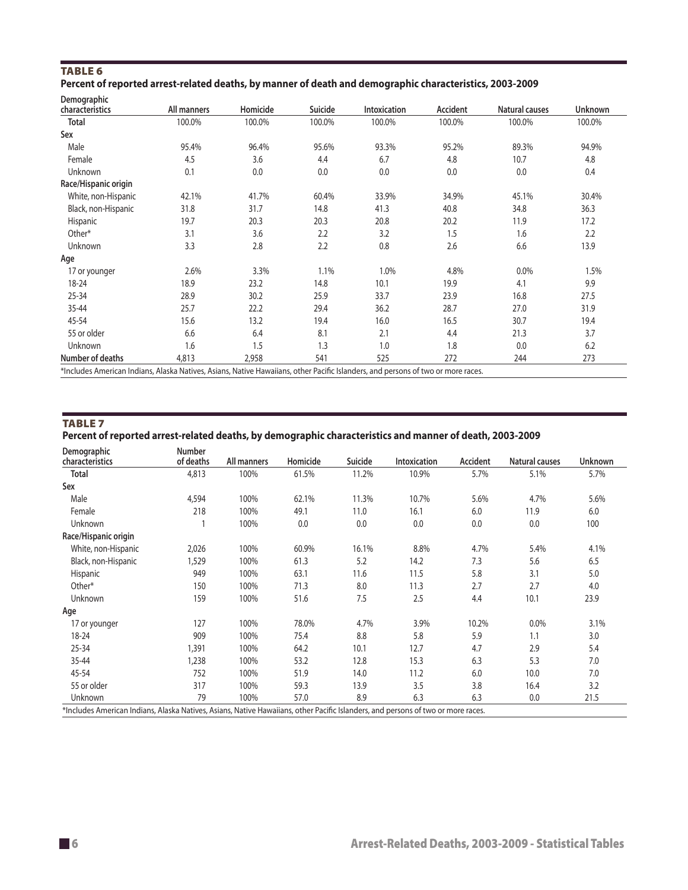#### Table 6 **Percent of reported arrest-related deaths, by manner of death and demographic characteristics, 2003-2009**

| <b>Demographic</b>                                                                                                               |             |          |         |                     |          |                |                |
|----------------------------------------------------------------------------------------------------------------------------------|-------------|----------|---------|---------------------|----------|----------------|----------------|
| characteristics                                                                                                                  | All manners | Homicide | Suicide | <b>Intoxication</b> | Accident | Natural causes | <b>Unknown</b> |
| <b>Total</b>                                                                                                                     | 100.0%      | 100.0%   | 100.0%  | 100.0%              | 100.0%   | 100.0%         | 100.0%         |
| Sex                                                                                                                              |             |          |         |                     |          |                |                |
| Male                                                                                                                             | 95.4%       | 96.4%    | 95.6%   | 93.3%               | 95.2%    | 89.3%          | 94.9%          |
| Female                                                                                                                           | 4.5         | 3.6      | 4.4     | 6.7                 | 4.8      | 10.7           | 4.8            |
| Unknown                                                                                                                          | 0.1         | 0.0      | 0.0     | 0.0                 | 0.0      | 0.0            | 0.4            |
| Race/Hispanic origin                                                                                                             |             |          |         |                     |          |                |                |
| White, non-Hispanic                                                                                                              | 42.1%       | 41.7%    | 60.4%   | 33.9%               | 34.9%    | 45.1%          | 30.4%          |
| Black, non-Hispanic                                                                                                              | 31.8        | 31.7     | 14.8    | 41.3                | 40.8     | 34.8           | 36.3           |
| Hispanic                                                                                                                         | 19.7        | 20.3     | 20.3    | 20.8                | 20.2     | 11.9           | 17.2           |
| Other*                                                                                                                           | 3.1         | 3.6      | 2.2     | 3.2                 | 1.5      | 1.6            | 2.2            |
| Unknown                                                                                                                          | 3.3         | 2.8      | 2.2     | 0.8                 | 2.6      | 6.6            | 13.9           |
| Age                                                                                                                              |             |          |         |                     |          |                |                |
| 17 or younger                                                                                                                    | 2.6%        | 3.3%     | 1.1%    | 1.0%                | 4.8%     | 0.0%           | 1.5%           |
| 18-24                                                                                                                            | 18.9        | 23.2     | 14.8    | 10.1                | 19.9     | 4.1            | 9.9            |
| 25-34                                                                                                                            | 28.9        | 30.2     | 25.9    | 33.7                | 23.9     | 16.8           | 27.5           |
| 35-44                                                                                                                            | 25.7        | 22.2     | 29.4    | 36.2                | 28.7     | 27.0           | 31.9           |
| 45-54                                                                                                                            | 15.6        | 13.2     | 19.4    | 16.0                | 16.5     | 30.7           | 19.4           |
| 55 or older                                                                                                                      | 6.6         | 6.4      | 8.1     | 2.1                 | 4.4      | 21.3           | 3.7            |
| Unknown                                                                                                                          | 1.6         | 1.5      | 1.3     | 1.0                 | 1.8      | 0.0            | 6.2            |
| Number of deaths                                                                                                                 | 4,813       | 2,958    | 541     | 525                 | 272      | 244            | 273            |
| *Includes American Indians, Alaska Natives, Asians, Native Hawaiians, other Pacific Islanders, and persons of two or more races. |             |          |         |                     |          |                |                |

#### TABLE<sub>7</sub>

**Percent of reported arrest-related deaths, by demographic characteristics and manner of death, 2003-2009**

| Demographic<br>characteristics                                                                                                   | <b>Number</b><br>of deaths | All manners | Homicide | Suicide | <b>Intoxication</b> | Accident | <b>Natural causes</b> | <b>Unknown</b> |
|----------------------------------------------------------------------------------------------------------------------------------|----------------------------|-------------|----------|---------|---------------------|----------|-----------------------|----------------|
| Total                                                                                                                            | 4,813                      | 100%        | 61.5%    | 11.2%   | 10.9%               | 5.7%     | 5.1%                  | 5.7%           |
| Sex                                                                                                                              |                            |             |          |         |                     |          |                       |                |
| Male                                                                                                                             | 4,594                      | 100%        | 62.1%    | 11.3%   | 10.7%               | 5.6%     | 4.7%                  | 5.6%           |
| Female                                                                                                                           | 218                        | 100%        | 49.1     | 11.0    | 16.1                | 6.0      | 11.9                  | 6.0            |
| Unknown                                                                                                                          |                            | 100%        | 0.0      | 0.0     | 0.0                 | 0.0      | 0.0                   | 100            |
| Race/Hispanic origin                                                                                                             |                            |             |          |         |                     |          |                       |                |
| White, non-Hispanic                                                                                                              | 2,026                      | 100%        | 60.9%    | 16.1%   | 8.8%                | 4.7%     | 5.4%                  | 4.1%           |
| Black, non-Hispanic                                                                                                              | 1,529                      | 100%        | 61.3     | 5.2     | 14.2                | 7.3      | 5.6                   | 6.5            |
| Hispanic                                                                                                                         | 949                        | 100%        | 63.1     | 11.6    | 11.5                | 5.8      | 3.1                   | 5.0            |
| Other*                                                                                                                           | 150                        | 100%        | 71.3     | 8.0     | 11.3                | 2.7      | 2.7                   | 4.0            |
| Unknown                                                                                                                          | 159                        | 100%        | 51.6     | 7.5     | 2.5                 | 4.4      | 10.1                  | 23.9           |
| Age                                                                                                                              |                            |             |          |         |                     |          |                       |                |
| 17 or younger                                                                                                                    | 127                        | 100%        | 78.0%    | 4.7%    | 3.9%                | 10.2%    | $0.0\%$               | 3.1%           |
| 18-24                                                                                                                            | 909                        | 100%        | 75.4     | 8.8     | 5.8                 | 5.9      | 1.1                   | 3.0            |
| 25-34                                                                                                                            | 1,391                      | 100%        | 64.2     | 10.1    | 12.7                | 4.7      | 2.9                   | 5.4            |
| 35-44                                                                                                                            | 1,238                      | 100%        | 53.2     | 12.8    | 15.3                | 6.3      | 5.3                   | 7.0            |
| 45-54                                                                                                                            | 752                        | 100%        | 51.9     | 14.0    | 11.2                | 6.0      | 10.0                  | 7.0            |
| 55 or older                                                                                                                      | 317                        | 100%        | 59.3     | 13.9    | 3.5                 | 3.8      | 16.4                  | 3.2            |
| Unknown                                                                                                                          | 79                         | 100%        | 57.0     | 8.9     | 6.3                 | 6.3      | 0.0                   | 21.5           |
| *Includes American Indians, Alaska Natives, Asians, Native Hawaiians, other Pacific Islanders, and persons of two or more races. |                            |             |          |         |                     |          |                       |                |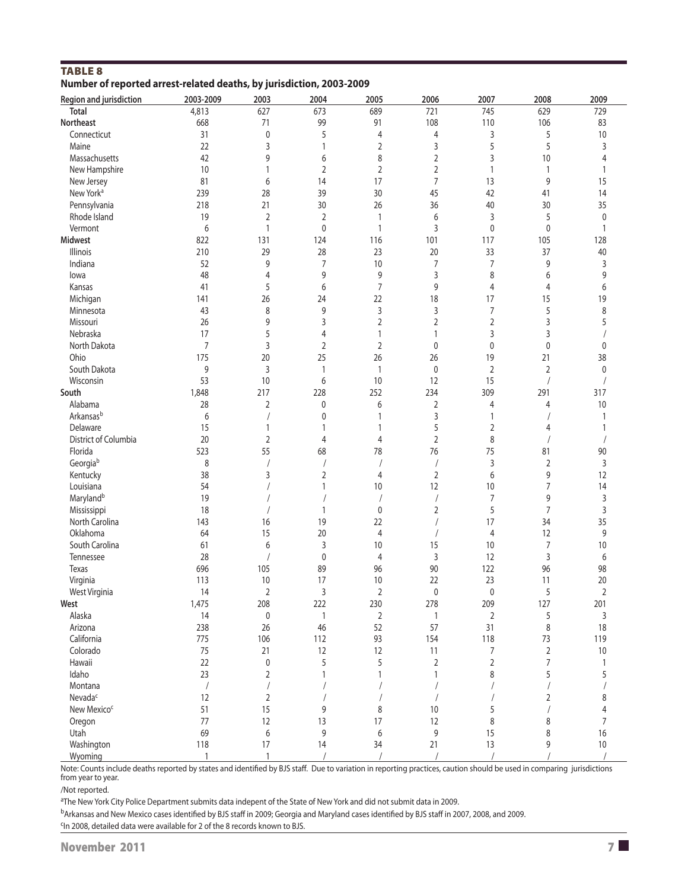| <b>TABLE 8</b>                                                       |  |  |
|----------------------------------------------------------------------|--|--|
| Number of reported arrest-related deaths, by jurisdiction, 2003-2009 |  |  |

| <b>Region and jurisdiction</b> | 2003-2009    | 2003           | 2004           | 2005           | 2006           | 2007           | 2008           | 2009           |
|--------------------------------|--------------|----------------|----------------|----------------|----------------|----------------|----------------|----------------|
| <b>Total</b>                   | 4,813        | 627            | 673            | 689            | 721            | 745            | 629            | 729            |
| <b>Northeast</b>               | 668          | 71             | 99             | 91             | 108            | 110            | 106            | 83             |
| Connecticut                    | 31           | 0              | 5              | 4              | 4              | 3              | 5              | $10$           |
| Maine                          | 22           | 3              | $\mathbf{1}$   | $\overline{2}$ | 3              | 5              | 5              | 3              |
| Massachusetts                  | 42           | 9              | 6              | 8              | $\overline{2}$ | 3              | 10             | 4              |
| New Hampshire                  | 10           | 1              | $\overline{2}$ | $\overline{2}$ | 2              | 1              | $\mathbf{1}$   | $\mathbf{1}$   |
| New Jersey                     | 81           | 6              | 14             | 17             | $\overline{7}$ | 13             | 9              | 15             |
| New York <sup>a</sup>          | 239          | 28             | 39             | 30             | 45             | 42             | 41             | 14             |
| Pennsylvania                   | 218          | 21             | 30             | 26             | 36             | 40             | 30             | 35             |
| Rhode Island                   | 19           | 2              | $\overline{2}$ | 1              | 6              | 3              | 5              | $\pmb{0}$      |
| Vermont                        | 6            | 1              | $\pmb{0}$      | $\mathbf{1}$   | 3              | 0              | $\pmb{0}$      | $\mathbf{1}$   |
| <b>Midwest</b>                 | 822          | 131            | 124            | 116            | 101            | 117            | 105            | 128            |
| Illinois                       | 210          | 29             | 28             | 23             | 20             | 33             | 37             | 40             |
| Indiana                        | 52           | 9              | $\overline{7}$ | 10             | 7              | 7              | 9              | 3              |
| lowa                           | 48           | $\overline{4}$ | 9              | 9              | 3              | 8              | 6              | 9              |
| Kansas                         | 41           | 5              | 6              | 7              | 9              | 4              | 4              | 6              |
| Michigan                       | 141          | 26             | 24             | 22             | 18             | 17             | 15             | 19             |
| Minnesota                      | 43           | 8              | 9              | 3              | 3              | 7              | 5              | 8              |
| Missouri                       | 26           | 9              | 3              | $\overline{2}$ | 2              | 2              | 3              | 5              |
| Nebraska                       | 17           | 5              | 4              | 1              | 1              | 3              | 3              |                |
| North Dakota                   | 7            | 3              | $\overline{2}$ | $\overline{2}$ | $\mathbf 0$    | 0              | 0              | 0              |
| Ohio                           | 175          | 20             | 25             | 26             | 26             | 19             | 21             | 38             |
| South Dakota                   | 9            | 3              | $\overline{1}$ | $\mathbf{1}$   | $\mathbf 0$    | 2              | $\overline{2}$ | $\pmb{0}$      |
| Wisconsin                      | 53           | 10             | 6              | 10             | 12             | 15             |                |                |
| South                          | 1,848        | 217            | 228            | 252            | 234            | 309            | 291            | 317            |
| Alabama                        | 28           | 2              | 0              | 6              | 2              | 4              | 4              | $10$           |
| Arkansasb                      | 6            | $\sqrt{2}$     | 0              | 1              | 3              | 1              |                | 1              |
| Delaware                       | 15           | 1              | $\mathbf{1}$   | 1              | 5              | 2              | 4              | 1              |
| District of Columbia           | 20           | $\overline{2}$ | $\overline{4}$ | 4              | $\overline{2}$ | 8              |                |                |
| Florida                        | 523          | 55             | 68             | 78             | 76             | 75             | 81             | $90\,$         |
| Georgiab                       | 8            |                |                |                |                | 3              | $\overline{2}$ | 3              |
| Kentucky                       | 38           | 3              | $\sqrt{2}$     | 4              | $\overline{2}$ | 6              | 9              | 12             |
| Louisiana                      | 54           |                | 1              | 10             | 12             | 10             | 7              | 14             |
| Maryland <sup>b</sup>          | 19           |                |                | $\prime$       | $\sqrt{2}$     | $\overline{7}$ | 9              | 3              |
| Mississippi                    | 18           | $\sqrt{ }$     | $\mathbf{1}$   | $\mathbf 0$    | $\overline{2}$ | 5              | 7              | 3              |
| North Carolina                 | 143          | 16             | 19             | 22             |                | 17             | 34             | 35             |
| Oklahoma                       | 64           | 15             | 20             | 4              |                | 4              | 12             | 9              |
| South Carolina                 | 61           | 6              | 3              | 10             | 15             | 10             | $\overline{7}$ | $10$           |
| Tennessee                      | 28           | $\sqrt{2}$     | $\mathbf 0$    | 4              | 3              | 12             | 3              | 6              |
| Texas                          | 696          | 105            | 89             | 96             | 90             | 122            | 96             | 98             |
| Virginia                       | 113          | 10             | 17             | 10             | 22             | 23             | 11             | 20             |
| West Virginia                  | 14           | $\overline{2}$ | 3              | 2              | $\mathbf 0$    | 0              | 5              | $\overline{2}$ |
| West                           | 1,475        | 208            | 222            | 230            | 278            | 209            | 127            | 201            |
| Alaska                         | 14           | $\pmb{0}$      | $\mathbf{1}$   | $\overline{2}$ | 1              | 2              | 5              | 3              |
| Arizona                        | 238          | 26             | 46             | 52             | 57             | 31             | $\,8\,$        | 18             |
| California                     | 775          | 106            | 112            | 93             | 154            | 118            | 73             | 119            |
| Colorado                       | 75           | 21             | 12             | 12             | 11             | 7              | $\overline{2}$ | $10\,$         |
| Hawaii                         | 22           | $\pmb{0}$      | 5              | 5              | $\overline{2}$ | $\overline{2}$ | $\overline{7}$ | $\mathbf{1}$   |
| Idaho                          | 23           | $\overline{2}$ | $\mathbf{1}$   | 1              | 1              | 8              | 5              | 5              |
| Montana                        | $\sqrt{2}$   | $\sqrt{2}$     |                |                |                |                |                |                |
| Nevada <sup>c</sup>            | 12           | $\overline{2}$ |                |                |                |                | 2              | 8              |
| New Mexico <sup>c</sup>        | 51           | 15             | 9              | 8              | 10             | 5              |                | 4              |
| Oregon                         | 77           | 12             | 13             | 17             | 12             | 8              | 8              | $\overline{7}$ |
| Utah                           | 69           | 6              | 9              | 6              | 9              | 15             | 8              | 16             |
| Washington                     | 118          | 17             | 14             | 34             | 21             | 13             | 9              | $10\,$         |
| Wyoming                        | $\mathbf{1}$ | $\mathbf{1}$   |                | $\prime$       |                | $\sqrt{ }$     |                |                |

Note: Counts include deaths reported by states and identified by BJS staff. Due to variation in reporting practices, caution should be used in comparing jurisdictions from year to year.

/Not reported.

<sup>a</sup>The New York City Police Department submits data indepent of the State of New York and did not submit data in 2009.

bArkansas and New Mexico cases identified by BJS staff in 2009; Georgia and Maryland cases identified by BJS staff in 2007, 2008, and 2009. <sup>c</sup>In 2008, detailed data were available for 2 of the 8 records known to BJS.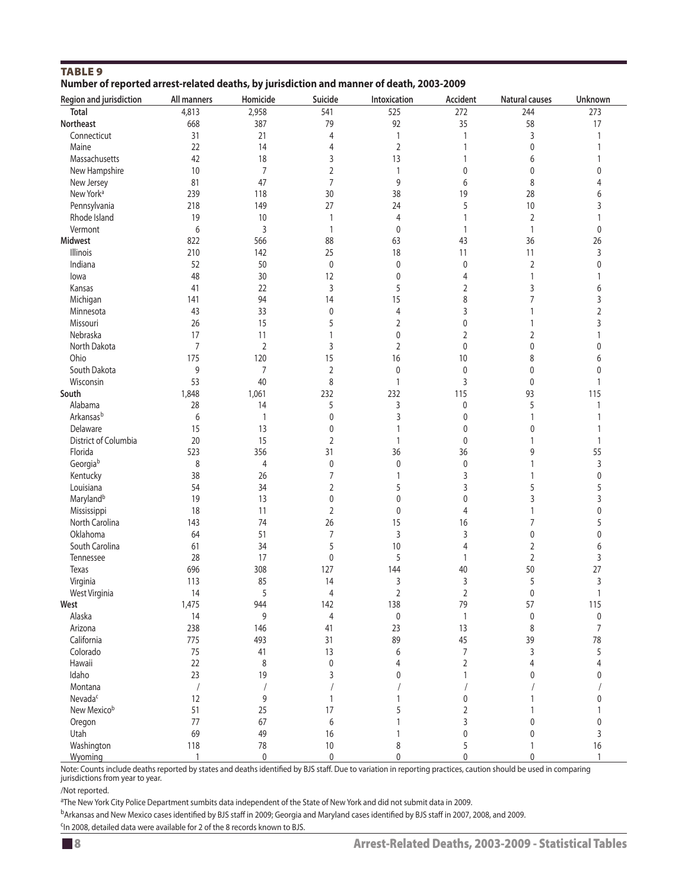| Region and jurisdiction | All manners    | Homicide       | Suicide        | Intoxication   | Accident       | <b>Natural causes</b> | Unknown        |
|-------------------------|----------------|----------------|----------------|----------------|----------------|-----------------------|----------------|
| <b>Total</b>            | 4,813          | 2,958          | 541            | 525            | 272            | 244                   | 273            |
| Northeast               | 668            | 387            | 79             | 92             | 35             | 58                    | 17             |
| Connecticut             | 31             | 21             | 4              | 1              | $\mathbf{1}$   | 3                     | $\mathbf{1}$   |
| Maine                   | 22             | 14             | 4              | $\overline{2}$ | $\mathbf{1}$   | 0                     |                |
| Massachusetts           | 42             | 18             | 3              | 13             | $\mathbf{1}$   | 6                     | 1              |
| New Hampshire           | 10             | $\overline{7}$ | 2              | 1              | 0              | 0                     | 0              |
| New Jersey              | 81             | 47             | $\overline{7}$ | 9              | 6              | 8                     | 4              |
| New York <sup>a</sup>   | 239            | 118            | 30             | 38             | 19             | 28                    | 6              |
| Pennsylvania            | 218            | 149            | 27             | 24             | 5              | 10                    | 3              |
| Rhode Island            | 19             | 10             | $\mathbf{1}$   | 4              | 1              | $\overline{2}$        | 1              |
| Vermont                 | 6              | 3              | $\mathbf{1}$   | 0              | $\mathbf{1}$   | 1                     | $\mathbf 0$    |
| <b>Midwest</b>          | 822            | 566            | 88             | 63             | 43             | 36                    | 26             |
| <b>Illinois</b>         | 210            | 142            | 25             | 18             | 11             | 11                    | 3              |
| Indiana                 | 52             | 50             | $\pmb{0}$      | 0              | $\mathbf 0$    |                       | 0              |
|                         |                |                |                |                | $\overline{4}$ | $\overline{2}$        |                |
| lowa                    | 48             | 30             | 12             | 0              |                | 1                     |                |
| Kansas                  | 41             | 22             | 3              | 5              | $\overline{2}$ | 3                     | 6              |
| Michigan                | 141            | 94             | 14             | 15             | 8              | 7                     | 3              |
| Minnesota               | 43             | 33             | $\pmb{0}$      | 4              | 3              | 1                     | 2              |
| Missouri                | 26             | 15             | 5              | 2              | $\mathbf 0$    | 1                     | 3              |
| Nebraska                | 17             | 11             | $\mathbf{1}$   | 0              | $\overline{2}$ | 2                     | 1              |
| North Dakota            | $\overline{7}$ | $\overline{2}$ | 3              | $\overline{2}$ | $\mathbf 0$    | 0                     | 0              |
| Ohio                    | 175            | 120            | 15             | 16             | 10             | 8                     | 6              |
| South Dakota            | 9              | 7              | $\overline{2}$ | $\mathbf{0}$   | $\mathbf 0$    | 0                     | 0              |
| Wisconsin               | 53             | 40             | 8              | 1              | 3              | 0                     | $\mathbf{1}$   |
| South                   | 1,848          | 1,061          | 232            | 232            | 115            | 93                    | 115            |
| Alabama                 | 28             | 14             | 5              | 3              | 0              | 5                     | 1              |
| Arkansas <sup>b</sup>   | 6              | $\mathbf{1}$   | 0              | 3              | $\mathbf{0}$   | 1                     |                |
| Delaware                | 15             | 13             | $\pmb{0}$      | 1              | 0              | 0                     | 1              |
| District of Columbia    | 20             | 15             | 2              | 1              | 0              | 1                     | $\mathbf{1}$   |
| Florida                 | 523            | 356            | 31             | 36             | 36             | 9                     | 55             |
| Georgiab                | 8              | 4              | 0              | 0              | $\mathbf 0$    | 1                     | 3              |
| Kentucky                | 38             | 26             | $\overline{7}$ | 1              | 3              | 1                     | 0              |
| Louisiana               | 54             | 34             | 2              | 5              | 3              | 5                     | 5              |
| Maryland <sup>b</sup>   | 19             | 13             | 0              | 0              | 0              | 3                     | 3              |
| Mississippi             | 18             | 11             | $\overline{2}$ | 0              | 4              | 1                     | 0              |
| North Carolina          | 143            | 74             | 26             | 15             | 16             | $\overline{7}$        | 5              |
| Oklahoma                | 64             | 51             | $\overline{7}$ | 3              | 3              | $\pmb{0}$             | 0              |
| South Carolina          | 61             | 34             | 5              | 10             | $\overline{4}$ | 2                     | 6              |
| Tennessee               | 28             | 17             | $\mathbf 0$    | 5              | $\mathbf{1}$   | $\overline{2}$        | 3              |
| Texas                   | 696            | 308            | 127            | 144            | 40             | 50                    | 27             |
| Virginia                | 113            | 85             | 14             | 3              | 3              | 5                     | 3              |
| West Virginia           | 14             | 5              | 4              | 2              | $\overline{2}$ | 0                     | 1              |
| West                    | 1,475          | 944            | 142            | 138            | 79             | 57                    | 115            |
| Alaska                  |                |                |                |                |                |                       |                |
|                         | 14             | 9              | $\overline{4}$ | 0              | $\mathbf{1}$   | $\pmb{0}$             | $\pmb{0}$      |
| Arizona                 | 238            | 146            | 41             | 23             | 13             | 8                     | $\overline{7}$ |
| California              | 775            | 493            | 31             | 89             | 45             | 39                    | 78             |
| Colorado                | 75             | 41             | 13             | 6              | 7              | 3                     | 5              |
| Hawaii                  | 22             | 8              | $\pmb{0}$      | 4              | $\overline{2}$ | 4                     | 4              |
| Idaho                   | 23             | 19             | 3              | 0              | 1              | 0                     | 0              |
| Montana                 | $\bigg)$       |                |                |                |                |                       |                |
| Nevada <sup>c</sup>     | 12             | 9              | $\mathbf{1}$   |                | $\mathbf 0$    | 1                     | 0              |
| New Mexicob             | 51             | 25             | 17             | 5              | 2              | 1                     |                |
| Oregon                  | 77             | 67             | 6              |                | 3              | 0                     | 0              |
| Utah                    | 69             | 49             | 16             |                | 0              | $\mathbf{0}$          | 3              |
| Washington              | 118            | 78             | $10$           | 8              | 5              | 1                     | 16             |
| Wyoming                 | $\mathbf{1}$   | 0              | $\pmb{0}$      | 0              | 0              | $\mathbf{0}$          | $\mathbf{1}$   |

### TABLE 9<br>Number of re **Number of reported arrest-related deaths, by jurisdiction and manner of death, 2003-2009**

Note: Counts include deaths reported by states and deaths identified by BJS staff. Due to variation in reporting practices, caution should be used in comparing jurisdictions from year to year.

/Not reported.

<sup>a</sup>The New York City Police Department sumbits data independent of the State of New York and did not submit data in 2009.

b<sub>Arkansas and New Mexico cases identified by BJS staff in 2009; Georgia and Maryland cases identified by BJS staff in 2007, 2008, and 2009.</sub>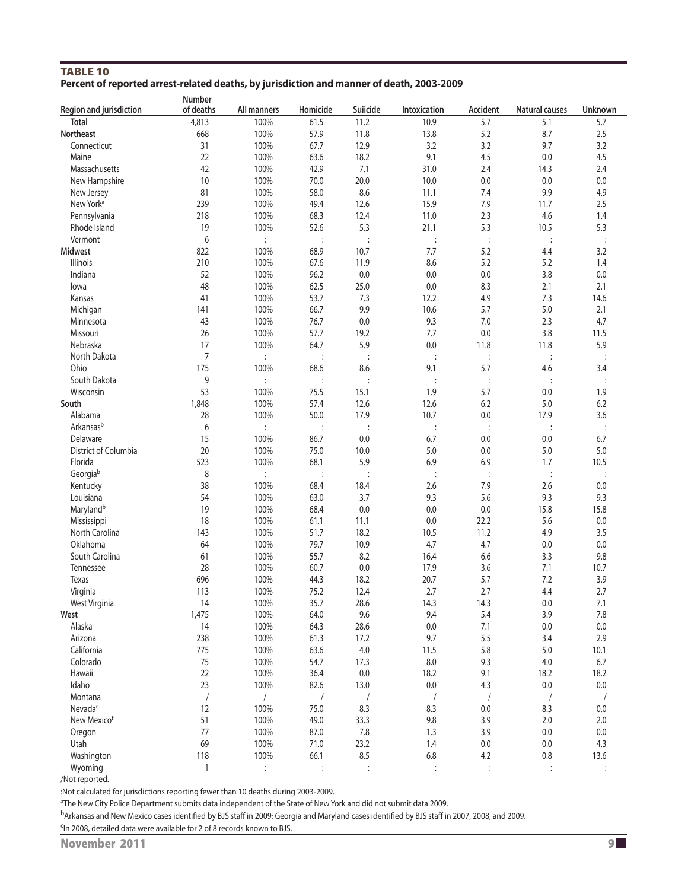#### TABLE 10 **Percent of reported arrest-related deaths, by jurisdiction and manner of death, 2003-2009**

|                         | <b>Number</b>  |                      |                |                |                |                |                       |                      |
|-------------------------|----------------|----------------------|----------------|----------------|----------------|----------------|-----------------------|----------------------|
| Region and jurisdiction | of deaths      | All manners          | Homicide       | Suiicide       | Intoxication   | Accident       | <b>Natural causes</b> | Unknown              |
| <b>Total</b>            | 4,813          | 100%                 | 61.5           | 11.2           | 10.9           | 5.7            | 5.1                   | 5.7                  |
| <b>Northeast</b>        | 668            | 100%                 | 57.9           | 11.8           | 13.8           | 5.2            | 8.7                   | 2.5                  |
| Connecticut             | 31             | 100%                 | 67.7           | 12.9           | 3.2            | 3.2            | 9.7                   | 3.2                  |
| Maine                   | 22             | 100%                 | 63.6           | 18.2           | 9.1            | 4.5            | 0.0                   | 4.5                  |
| Massachusetts           | 42             | 100%                 | 42.9           | 7.1            | 31.0           | 2.4            | 14.3                  | 2.4                  |
| New Hampshire           | 10             | 100%                 | 70.0           | 20.0           | 10.0           | 0.0            | $0.0\,$               | 0.0                  |
| New Jersey              | 81             | 100%                 | 58.0           | 8.6            | 11.1           | 7.4            | 9.9                   | 4.9                  |
| New York <sup>a</sup>   | 239            | 100%                 | 49.4           | 12.6           | 15.9           | 7.9            | 11.7                  | 2.5                  |
| Pennsylvania            | 218            | 100%                 | 68.3           | 12.4           | 11.0           | 2.3            | 4.6                   | 1.4                  |
| Rhode Island            | 19             | 100%                 | 52.6           | 5.3            | 21.1           | 5.3            | 10.5                  | 5.3                  |
| Vermont                 | 6              | $\ddot{\phantom{a}}$ | $\ddot{\cdot}$ | $\ddot{\cdot}$ | $\vdots$       | $\ddot{\cdot}$ |                       | $\colon$             |
| <b>Midwest</b>          | 822            | 100%                 | 68.9           | 10.7           | 7.7            | 5.2            | 4.4                   | 3.2                  |
| <b>Illinois</b>         | 210            | 100%                 | 67.6           | 11.9           | 8.6            | 5.2            | 5.2                   | 1.4                  |
| Indiana                 | 52             | 100%                 | 96.2           | 0.0            | 0.0            | 0.0            | 3.8                   | $0.0\,$              |
| lowa                    | 48             | 100%                 | 62.5           | 25.0           | 0.0            | 8.3            | 2.1                   | 2.1                  |
| Kansas                  | 41             | 100%                 | 53.7           | 7.3            | 12.2           | 4.9            | 7.3                   | 14.6                 |
| Michigan                | 141            | 100%                 | 66.7           | 9.9            | 10.6           | 5.7            | 5.0                   | 2.1                  |
| Minnesota               | 43             | 100%                 | 76.7           | 0.0            | 9.3            | 7.0            | 2.3                   | 4.7                  |
| Missouri                | 26             | 100%                 | 57.7           | 19.2           | 7.7            | 0.0            | 3.8                   | 11.5                 |
| Nebraska                | 17             | 100%                 | 64.7           | 5.9            | 0.0            | 11.8           | 11.8                  | 5.9                  |
| North Dakota            | $\overline{7}$ | $\ddot{\phantom{a}}$ |                | $\ddot{\cdot}$ | $\ddot{\cdot}$ |                |                       |                      |
| Ohio                    | 175            | 100%                 | 68.6           | 8.6            | 9.1            | 5.7            | 4.6                   | 3.4                  |
| South Dakota            | 9              | $\ddot{\phantom{a}}$ | $\ddot{\cdot}$ | $\vdots$       | $\vdots$       | $\ddot{\cdot}$ |                       | $\ddot{\cdot}$       |
| Wisconsin               | 53             | 100%                 | 75.5           | 15.1           | 1.9            | 5.7            | 0.0                   | 1.9                  |
| South                   | 1,848          | 100%                 | 57.4           | 12.6           | 12.6           | 6.2            | 5.0                   | 6.2                  |
| Alabama                 | 28             | 100%                 | 50.0           | 17.9           | 10.7           | 0.0            | 17.9                  | 3.6                  |
| Arkansasb               | 6              | ÷                    | $\ddot{\cdot}$ | $\vdots$       | $\vdots$       | $\ddot{\cdot}$ | $\ddot{\phantom{a}}$  | $\ddot{\phantom{a}}$ |
| Delaware                | 15             | 100%                 | 86.7           | 0.0            | 6.7            | 0.0            | 0.0                   | 6.7                  |
| District of Columbia    | 20             | 100%                 | 75.0           | 10.0           | 5.0            | 0.0            | 5.0                   | $5.0$                |
| Florida                 | 523            | 100%                 | 68.1           | 5.9            | 6.9            | 6.9            | 1.7                   | 10.5                 |
| Georgiab                | 8              | $\ddot{\phantom{a}}$ | $\ddot{\cdot}$ | $\vdots$       | $\vdots$       | $\ddot{\cdot}$ | $\ddot{\cdot}$        |                      |
| Kentucky                | 38             | 100%                 | 68.4           | 18.4           | 2.6            | 7.9            | 2.6                   | 0.0                  |
| Louisiana               | 54             | 100%                 | 63.0           | 3.7            | 9.3            | 5.6            | 9.3                   | 9.3                  |
| Maryland <sup>b</sup>   | 19             | 100%                 | 68.4           | 0.0            | 0.0            | 0.0            | 15.8                  | 15.8                 |
| Mississippi             | 18             | 100%                 | 61.1           | 11.1           | 0.0            | 22.2           | 5.6                   | 0.0                  |
| North Carolina          | 143            | 100%                 | 51.7           | 18.2           | 10.5           | 11.2           | 4.9                   | 3.5                  |
| Oklahoma                | 64             | 100%                 | 79.7           | 10.9           | 4.7            | 4.7            | 0.0                   | 0.0                  |
| South Carolina          | 61             | 100%                 | 55.7           | 8.2            | 16.4           | 6.6            | 3.3                   | 9.8                  |
| Tennessee               | 28             | 100%                 | 60.7           | 0.0            | 17.9           | 3.6            | 7.1                   | 10.7                 |
| Texas                   | 696            | 100%                 | 44.3           | 18.2           | 20.7           | 5.7            | 7.2                   | 3.9                  |
| Virginia                | 113            | 100%                 | 75.2           | 12.4           | 2.7            | 2.7            | 4.4                   | 2.7                  |
| West Virginia           | 14             | 100%                 | 35.7           | 28.6           | 14.3           | 14.3           | 0.0                   | 7.1                  |
| West                    | 1,475          | 100%                 | 64.0           | 9.6            | 9.4            | 5.4            | 3.9                   | 7.8                  |
| Alaska                  | 14             | 100%                 | 64.3           | 28.6           | 0.0            | 7.1            | $0.0\,$               | 0.0                  |
| Arizona                 | 238            | 100%                 | 61.3           | 17.2           | 9.7            | 5.5            | 3.4                   | 2.9                  |
| California              | 775            | 100%                 | 63.6           | 4.0            | 11.5           | 5.8            | 5.0                   | 10.1                 |
| Colorado                | 75             | 100%                 | 54.7           | 17.3           | 8.0            | 9.3            | $4.0$                 | 6.7                  |
| Hawaii                  | 22             | 100%                 | 36.4           | 0.0            | 18.2           | 9.1            | 18.2                  | 18.2                 |
| Idaho                   | 23             | 100%                 | 82.6           | 13.0           | $0.0\,$        | 4.3            | $0.0\,$               | 0.0                  |
| Montana                 | $\sqrt{2}$     | $\sqrt{2}$           | /              | $\sqrt{2}$     | $\sqrt{2}$     | $\sqrt{2}$     | $\prime$              |                      |
| Nevada <sup>c</sup>     | 12             | 100%                 | 75.0           | 8.3            | 8.3            | 0.0            | 8.3                   | 0.0                  |
| New Mexicob             | 51             | 100%                 | 49.0           | 33.3           | 9.8            | 3.9            | 2.0                   | 2.0                  |
| Oregon                  | 77             | 100%                 | 87.0           | 7.8            | 1.3            | 3.9            | 0.0                   | 0.0                  |
| Utah                    | 69             | 100%                 | 71.0           | 23.2           | 1.4            | $0.0\,$        | 0.0                   | 4.3                  |
| Washington              | 118            | 100%                 | 66.1           | 8.5            | $6.8\,$        | 4.2            | $0.8\,$               | 13.6                 |
| Wyoming                 | $\mathbf{1}$   | $\ddot{\phantom{a}}$ |                |                |                | $\cdot$        |                       |                      |

/Not reported.

:Not calculated for jurisdictions reporting fewer than 10 deaths during 2003-2009.

<sup>a</sup>The New City Police Department submits data independent of the State of New York and did not submit data 2009.

bArkansas and New Mexico cases identified by BJS staff in 2009; Georgia and Maryland cases identified by BJS staff in 2007, 2008, and 2009.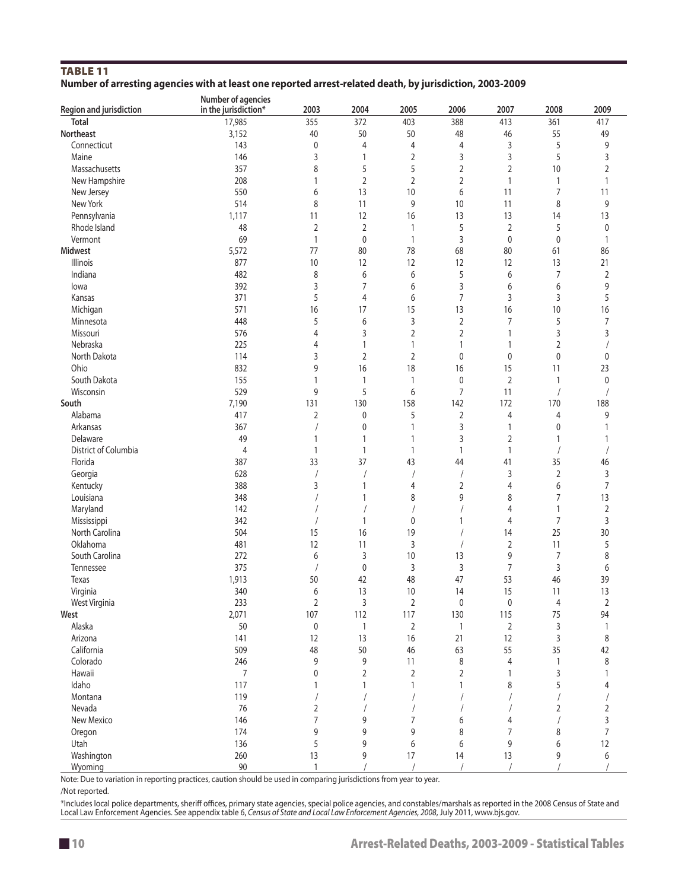#### Table 11 **Number of arresting agencies with at least one reported arrest-related death, by jurisdiction, 2003-2009**

|                         | Number of agencies   |                |                |                |                |                |                |                |
|-------------------------|----------------------|----------------|----------------|----------------|----------------|----------------|----------------|----------------|
| Region and jurisdiction | in the jurisdiction* | 2003           | 2004           | 2005           | 2006           | 2007           | 2008           | 2009           |
| <b>Total</b>            | 17,985               | 355            | 372            | 403            | 388            | 413            | 361            | 417            |
| <b>Northeast</b>        | 3,152                | 40             | 50             | 50             | 48             | 46             | 55             | 49             |
| Connecticut             | 143                  | $\mathbf 0$    | $\overline{4}$ | 4              | $\overline{4}$ | 3              | 5              | 9              |
| Maine                   | 146                  | 3              | 1              | $\overline{2}$ | 3              | 3              | 5              | 3              |
| Massachusetts           | 357                  | 8              | 5              | 5              | $\overline{2}$ | $\overline{2}$ | 10             | $\overline{2}$ |
| New Hampshire           | 208                  | $\mathbf{1}$   | $\overline{2}$ | $\overline{2}$ | $\overline{2}$ | 1              | $\mathbf{1}$   | $\mathbf{1}$   |
| New Jersey              | 550                  | 6              | 13             | 10             | 6              | 11             | $\overline{7}$ | 11             |
| New York                | 514                  | 8              | 11             | 9              | 10             | 11             | 8              | 9              |
|                         |                      |                |                |                |                |                |                |                |
| Pennsylvania            | 1,117                | 11             | 12             | 16             | 13             | 13             | 14             | 13             |
| Rhode Island            | 48                   | $\overline{2}$ | 2              | 1              | 5              | $\overline{2}$ | 5              | $\pmb{0}$      |
| Vermont                 | 69                   | $\mathbf{1}$   | 0              | $\mathbf{1}$   | 3              | 0              | $\mathbf 0$    | $\mathbf{1}$   |
| <b>Midwest</b>          | 5,572                | 77             | 80             | 78             | 68             | 80             | 61             | 86             |
| Illinois                | 877                  | 10             | 12             | 12             | 12             | 12             | 13             | 21             |
| Indiana                 | 482                  | 8              | 6              | 6              | 5              | 6              | 7              | 2              |
| lowa                    | 392                  | 3              | 7              | 6              | 3              | 6              | 6              | 9              |
| Kansas                  | 371                  | 5              | $\overline{4}$ | 6              | 7              | 3              | 3              | 5              |
| Michigan                | 571                  | 16             | 17             | 15             | 13             | 16             | 10             | 16             |
| Minnesota               | 448                  | 5              | 6              | 3              | $\overline{2}$ | $\overline{7}$ | 5              | 7              |
| Missouri                | 576                  | $\overline{4}$ | 3              | 2              | $\overline{2}$ | 1              | 3              | 3              |
| Nebraska                | 225                  | 4              | $\mathbf{1}$   | 1              | $\mathbf{1}$   | 1              | $\overline{2}$ |                |
| North Dakota            | 114                  | 3              | $\overline{2}$ | 2              | 0              | 0              | $\mathbf 0$    | 0              |
| Ohio                    | 832                  | 9              | 16             | 18             | 16             | 15             | 11             | 23             |
| South Dakota            | 155                  | $\mathbf{1}$   |                |                | $\pmb{0}$      |                |                |                |
|                         |                      |                | 1              | 1              |                | 2              | $\mathbf{1}$   | 0              |
| Wisconsin               | 529                  | 9              | 5              | 6              | $\overline{7}$ | 11             |                | $\prime$       |
| South                   | 7,190                | 131            | 130            | 158            | 142            | 172            | 170            | 188            |
| Alabama                 | 417                  | $\overline{2}$ | $\mathbf 0$    | 5              | 2              | 4              | 4              | 9              |
| Arkansas                | 367                  | $\sqrt{2}$     | $\pmb{0}$      | 1              | 3              | 1              | 0              | $\mathbf{1}$   |
| Delaware                | 49                   | $\mathbf{1}$   | $\mathbf{1}$   | 1              | 3              | $\overline{2}$ | $\mathbf{1}$   | 1              |
| District of Columbia    | 4                    | $\mathbf{1}$   | $\mathbf{1}$   | 1              | $\mathbf{1}$   | 1              |                |                |
| Florida                 | 387                  | 33             | 37             | 43             | 44             | 41             | 35             | 46             |
| Georgia                 | 628                  |                | 1              | $\sqrt{2}$     |                | 3              | $\sqrt{2}$     | 3              |
| Kentucky                | 388                  | 3              | $\mathbf{1}$   | 4              | $\overline{2}$ | $\overline{4}$ | 6              | $\overline{7}$ |
| Louisiana               | 348                  |                | 1              | 8              | 9              | 8              | 7              | 13             |
| Maryland                | 142                  |                |                |                |                | 4              | $\mathbf{1}$   | $\overline{2}$ |
| Mississippi             | 342                  |                | $\mathbf{1}$   | 0              | 1              | 4              | 7              | 3              |
| North Carolina          | 504                  | 15             | 16             | 19             |                | 14             | 25             | 30             |
| Oklahoma                | 481                  | 12             | 11             | 3              |                | $\overline{2}$ | 11             | 5              |
| South Carolina          | 272                  | 6              | 3              | 10             | 13             | 9              | 7              | 8              |
| Tennessee               | 375                  |                | $\mathbf 0$    | 3              | 3              | 7              | 3              | 6              |
|                         | 1,913                |                | 42             | 48             | 47             | 53             |                | 39             |
| Texas                   |                      | 50<br>6        |                |                |                |                | 46             |                |
| Virginia                | 340                  |                | 13             | 10             | 14             | 15             | 11             | 13             |
| West Virginia           | 233                  | 2              | 3              | 2              | 0              | 0              | 4              | 2              |
| West                    | 2,071                | 107            | 112            | 117            | 130            | 115            | 75             | 94             |
| Alaska                  | 50                   | $\pmb{0}$      | 1              | $\overline{2}$ | $\mathbf{1}$   | $\overline{2}$ | 3              | $\mathbf{1}$   |
| Arizona                 | 141                  | 12             | 13             | 16             | 21             | 12             | 3              | 8              |
| California              | 509                  | 48             | 50             | 46             | 63             | 55             | 35             | 42             |
| Colorado                | 246                  | 9              | 9              | 11             | 8              | 4              | $\mathbf{1}$   | $\,8\,$        |
| Hawaii                  | 7                    | 0              | $\overline{2}$ | $\overline{2}$ | $\overline{2}$ | $\mathbf{1}$   | 3              | $\mathbf{1}$   |
| Idaho                   | 117                  | $\mathbf{1}$   | 1              | $\mathbf{1}$   | 1              | 8              | 5              | 4              |
| Montana                 | 119                  |                | $\sqrt{2}$     | $\sqrt{2}$     |                |                |                | $\sqrt{2}$     |
| Nevada                  | 76                   | 2              |                |                |                |                | 2              | $\overline{2}$ |
| New Mexico              | 146                  | $\overline{7}$ | 9              | 7              | 6              | 4              |                | 3              |
| Oregon                  | 174                  | 9              | 9              | 9              | 8              | 7              | 8              | $\overline{7}$ |
| Utah                    | 136                  | 5              | 9              | 6              | 6              | 9              | 6              | 12             |
| Washington              | 260                  | 13             | 9              | 17             | 14             | 13             | 9              | 6              |
| Wyoming                 | 90                   | $\overline{1}$ |                |                |                |                |                |                |
|                         |                      |                |                |                |                |                |                |                |

Note: Due to variation in reporting practices, caution should be used in comparing jurisdictions from year to year.

/Not reported.

\*Includes local police departments, sheriff offices, primary state agencies, special police agencies, and constables/marshals as reported in the 2008 Census of State and<br>Local Law Enforcement Agencies. See appendix table 6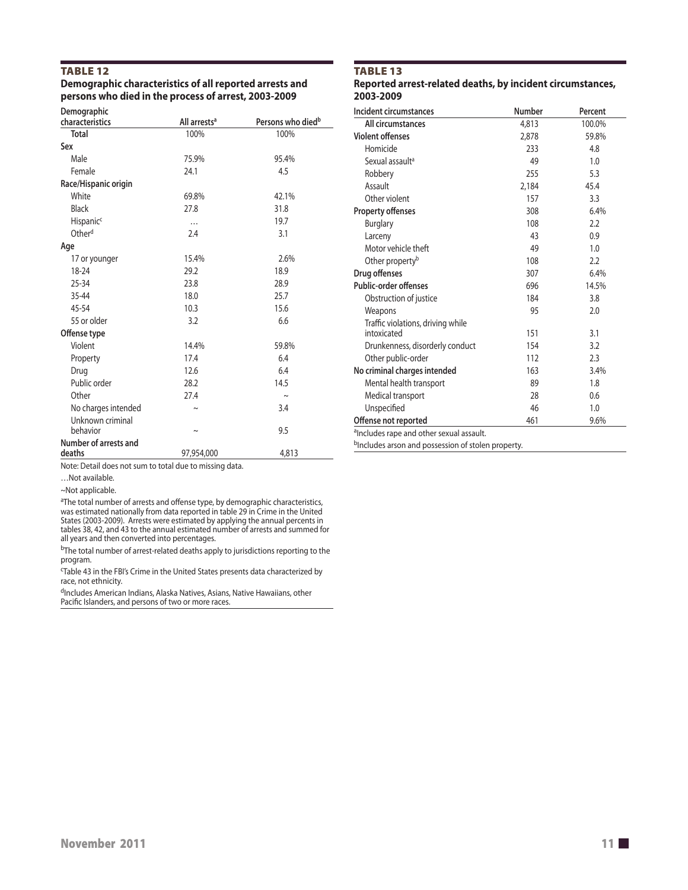#### TABLE 12

#### **Demographic characteristics of all reported arrests and persons who died in the process of arrest, 2003-2009**

| Demographic<br>characteristics  | All arrests <sup>a</sup> | Persons who died <sup>b</sup> |
|---------------------------------|--------------------------|-------------------------------|
| Total                           | 100%                     | 100%                          |
| Sex                             |                          |                               |
| Male                            | 75.9%                    | 95.4%                         |
| Female                          | 24.1                     | 4.5                           |
| Race/Hispanic origin            |                          |                               |
| White                           | 69.8%                    | 42.1%                         |
| <b>Black</b>                    | 27.8                     | 31.8                          |
| <b>Hispanic<sup>c</sup></b>     | .                        | 19.7                          |
| Other <sup>d</sup>              | 2.4                      | 3.1                           |
| Age                             |                          |                               |
| 17 or younger                   | 15.4%                    | 2.6%                          |
| 18-24                           | 29.2                     | 18.9                          |
| $25 - 34$                       | 23.8                     | 28.9                          |
| $35 - 44$                       | 18.0                     | 25.7                          |
| 45-54                           | 10.3                     | 15.6                          |
| 55 or older                     | 3.2                      | 6.6                           |
| Offense type                    |                          |                               |
| Violent                         | 14.4%                    | 59.8%                         |
| Property                        | 17.4                     | 6.4                           |
| Drug                            | 12.6                     | 6.4                           |
| Public order                    | 28.2                     | 14.5                          |
| Other                           | 27.4                     | $\sim$                        |
| No charges intended             | Ñ                        | 3.4                           |
| Unknown criminal                |                          |                               |
| hehavior                        | $\sim$                   | 9.5                           |
| Number of arrests and<br>deaths | 97,954,000               | 4,813                         |

Note: Detail does not sum to total due to missing data.

…Not available.

~Not applicable.

֧֖֚֞֝֬֝֬֝֬֝֬֝֬֝

<sup>a</sup>The total number of arrests and offense type, by demographic characteristics, was estimated nationally from data reported in table 29 in Crime in the United States (2003-2009). Arrests were estimated by applying the annual percents in tables 38, 42, and 43 to the annual estimated number of arrests and summed for all years and then converted into percentages.

 $b$ The total number of arrest-related deaths apply to jurisdictions reporting to the program.

<sup>c</sup>Table 43 in the FBI's Crime in the United States presents data characterized by race, not ethnicity.

<sup>d</sup>Includes American Indians, Alaska Natives, Asians, Native Hawaiians, other Pacific Islanders, and persons of two or more races.

#### TABLE 13 **Reported arrest-related deaths, by incident circumstances, 2003-2009**

| Incident circumstances                               | <b>Number</b> | Percent |
|------------------------------------------------------|---------------|---------|
| All circumstances                                    | 4,813         | 100.0%  |
| <b>Violent offenses</b>                              | 2,878         | 59.8%   |
| Homicide                                             | 233           | 4.8     |
| Sexual assault <sup>a</sup>                          | 49            | 1.0     |
| Robbery                                              | 255           | 5.3     |
| Assault                                              | 2,184         | 45.4    |
| Other violent                                        | 157           | 3.3     |
| <b>Property offenses</b>                             | 308           | 6.4%    |
| <b>Burglary</b>                                      | 108           | 2.2     |
| Larceny                                              | 43            | 0.9     |
| Motor vehicle theft                                  | 49            | 1.0     |
| Other property <sup>b</sup>                          | 108           | 2.2     |
| Drug offenses                                        | 307           | 6.4%    |
| Public-order offenses                                | 696           | 14.5%   |
| Obstruction of justice                               | 184           | 3.8     |
| Weapons                                              | 95            | 2.0     |
| Traffic violations, driving while                    |               |         |
| intoxicated                                          | 151           | 3.1     |
| Drunkenness, disorderly conduct                      | 154           | 3.2     |
| Other public-order                                   | 112           | 2.3     |
| No criminal charges intended                         | 163           | 3.4%    |
| Mental health transport                              | 89            | 1.8     |
| Medical transport                                    | 28            | 0.6     |
| Unspecified                                          | 46            | 1.0     |
| Offense not reported                                 | 461           | 9.6%    |
| <sup>a</sup> Includes rape and other sexual assault. |               |         |

bIncludes arson and possession of stolen property.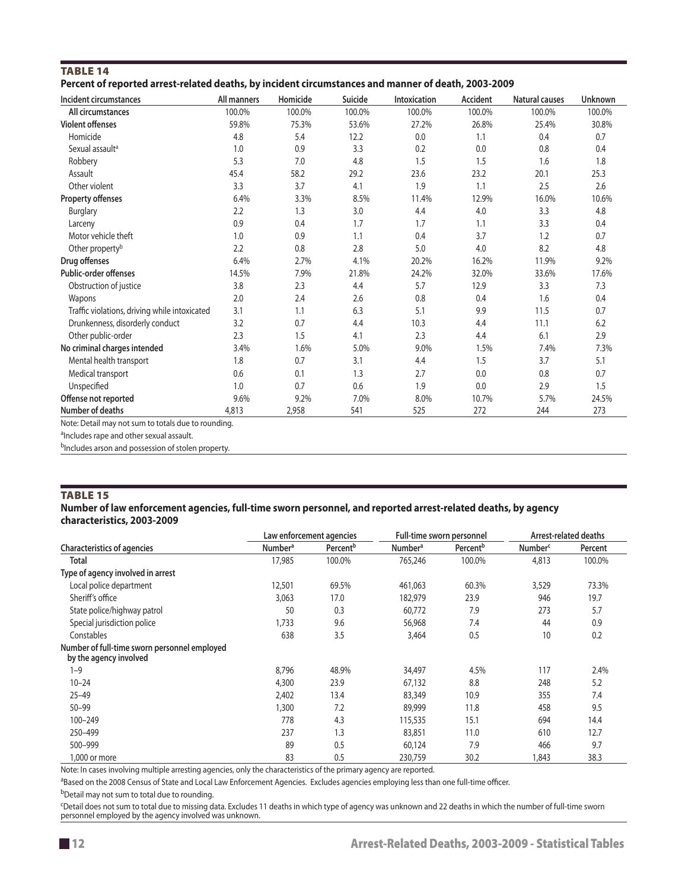| <b>TABLE 14</b>                                                                                     |  |  |  |
|-----------------------------------------------------------------------------------------------------|--|--|--|
| Percent of reported arrest-related deaths, by incident circumstances and manner of death, 2003-2009 |  |  |  |

| Incident circumstances                        | All manners | Homicide | Suicide | Intoxication | Accident | <b>Natural causes</b> | <b>Unknown</b> |
|-----------------------------------------------|-------------|----------|---------|--------------|----------|-----------------------|----------------|
| All circumstances                             | 100.0%      | 100.0%   | 100.0%  | 100.0%       | 100.0%   | 100.0%                | 100.0%         |
| <b>Violent offenses</b>                       | 59.8%       | 75.3%    | 53.6%   | 27.2%        | 26.8%    | 25.4%                 | 30.8%          |
| Homicide                                      | 4.8         | 5.4      | 12.2    | 0.0          | 1.1      | 0.4                   | 0.7            |
| Sexual assault <sup>a</sup>                   | 1.0         | 0.9      | 3.3     | 0.2          | 0.0      | 0.8                   | 0.4            |
| Robbery                                       | 5.3         | 7.0      | 4.8     | 1.5          | 1.5      | 1.6                   | 1.8            |
| Assault                                       | 45.4        | 58.2     | 29.2    | 23.6         | 23.2     | 20.1                  | 25.3           |
| Other violent                                 | 3.3         | 3.7      | 4.1     | 1.9          | 1.1      | 2.5                   | 2.6            |
| <b>Property offenses</b>                      | 6.4%        | 3.3%     | 8.5%    | 11.4%        | 12.9%    | 16.0%                 | 10.6%          |
| <b>Burglary</b>                               | 2.2         | 1.3      | 3.0     | 4.4          | 4.0      | 3.3                   | 4.8            |
| Larceny                                       | 0.9         | 0.4      | 1.7     | 1.7          | 1.1      | 3.3                   | 0.4            |
| Motor vehicle theft                           | 1.0         | 0.9      | 1.1     | 0.4          | 3.7      | 1.2                   | 0.7            |
| Other property <sup>b</sup>                   | 2.2         | 0.8      | 2.8     | 5.0          | 4.0      | 8.2                   | 4.8            |
| Drug offenses                                 | 6.4%        | 2.7%     | 4.1%    | 20.2%        | 16.2%    | 11.9%                 | 9.2%           |
| <b>Public-order offenses</b>                  | 14.5%       | 7.9%     | 21.8%   | 24.2%        | 32.0%    | 33.6%                 | 17.6%          |
| Obstruction of justice                        | 3.8         | 2.3      | 4.4     | 5.7          | 12.9     | 3.3                   | 7.3            |
| Wapons                                        | 2.0         | 2.4      | 2.6     | 0.8          | 0.4      | 1.6                   | 0.4            |
| Traffic violations, driving while intoxicated | 3.1         | 1.1      | 6.3     | 5.1          | 9.9      | 11.5                  | 0.7            |
| Drunkenness, disorderly conduct               | 3.2         | 0.7      | 4.4     | 10.3         | 4.4      | 11.1                  | 6.2            |
| Other public-order                            | 2.3         | 1.5      | 4.1     | 2.3          | 4.4      | 6.1                   | 2.9            |
| No criminal charges intended                  | 3.4%        | 1.6%     | 5.0%    | 9.0%         | 1.5%     | 7.4%                  | 7.3%           |
| Mental health transport                       | 1.8         | 0.7      | 3.1     | 4.4          | 1.5      | 3.7                   | 5.1            |
| Medical transport                             | 0.6         | 0.1      | 1.3     | 2.7          | 0.0      | 0.8                   | 0.7            |
| Unspecified                                   | 1.0         | 0.7      | 0.6     | 1.9          | 0.0      | 2.9                   | 1.5            |
| Offense not reported                          | 9.6%        | 9.2%     | 7.0%    | 8.0%         | 10.7%    | 5.7%                  | 24.5%          |
| Number of deaths                              | 4,813       | 2,958    | 541     | 525          | 272      | 244                   | 273            |

Note: Detail may not sum to totals due to rounding.

alncludes rape and other sexual assault.

bIncludes arson and possession of stolen property.

#### Table 15

#### **Number of law enforcement agencies, full-time sworn personnel, and reported arrest-related deaths, by agency characteristics, 2003-2009**

|                                                                        |                     | Law enforcement agencies |                           | Full-time sworn personnel |                     | <b>Arrest-related deaths</b> |
|------------------------------------------------------------------------|---------------------|--------------------------|---------------------------|---------------------------|---------------------|------------------------------|
| <b>Characteristics of agencies</b>                                     | Number <sup>a</sup> | Percent <sup>b</sup>     | <b>Number<sup>a</sup></b> | Percent <sup>b</sup>      | Number <sup>c</sup> | Percent                      |
| <b>Total</b>                                                           | 17,985              | 100.0%                   | 765,246                   | 100.0%                    | 4,813               | 100.0%                       |
| Type of agency involved in arrest                                      |                     |                          |                           |                           |                     |                              |
| Local police department                                                | 12,501              | 69.5%                    | 461,063                   | 60.3%                     | 3,529               | 73.3%                        |
| Sheriff's office                                                       | 3,063               | 17.0                     | 182,979                   | 23.9                      | 946                 | 19.7                         |
| State police/highway patrol                                            | 50                  | 0.3                      | 60,772                    | 7.9                       | 273                 | 5.7                          |
| Special jurisdiction police                                            | 1,733               | 9.6                      | 56,968                    | 7.4                       | 44                  | 0.9                          |
| Constables                                                             | 638                 | 3.5                      | 3,464                     | 0.5                       | 10                  | 0.2                          |
| Number of full-time sworn personnel employed<br>by the agency involved |                     |                          |                           |                           |                     |                              |
| $1 - 9$                                                                | 8.796               | 48.9%                    | 34,497                    | 4.5%                      | 117                 | 2.4%                         |
| $10 - 24$                                                              | 4,300               | 23.9                     | 67,132                    | 8.8                       | 248                 | 5.2                          |
| $25 - 49$                                                              | 2,402               | 13.4                     | 83,349                    | 10.9                      | 355                 | 7.4                          |
| $50 - 99$                                                              | 1,300               | 7.2                      | 89,999                    | 11.8                      | 458                 | 9.5                          |
| 100-249                                                                | 778                 | 4.3                      | 115,535                   | 15.1                      | 694                 | 14.4                         |
| 250-499                                                                | 237                 | 1.3                      | 83,851                    | 11.0                      | 610                 | 12.7                         |
| 500-999                                                                | 89                  | 0.5                      | 60,124                    | 7.9                       | 466                 | 9.7                          |
| 1,000 or more                                                          | 83                  | 0.5                      | 230,759                   | 30.2                      | 1,843               | 38.3                         |

Note: In cases involving multiple arresting agencies, only the characteristics of the primary agency are reported.

<sup>a</sup>Based on the 2008 Census of State and Local Law Enforcement Agencies. Excludes agencies employing less than one full-time officer.

bDetail may not sum to total due to rounding.

c Detail does not sum to total due to missing data. Excludes 11 deaths in which type of agency was unknown and 22 deaths in which the number of full-time sworn personnel employed by the agency involved was unknown.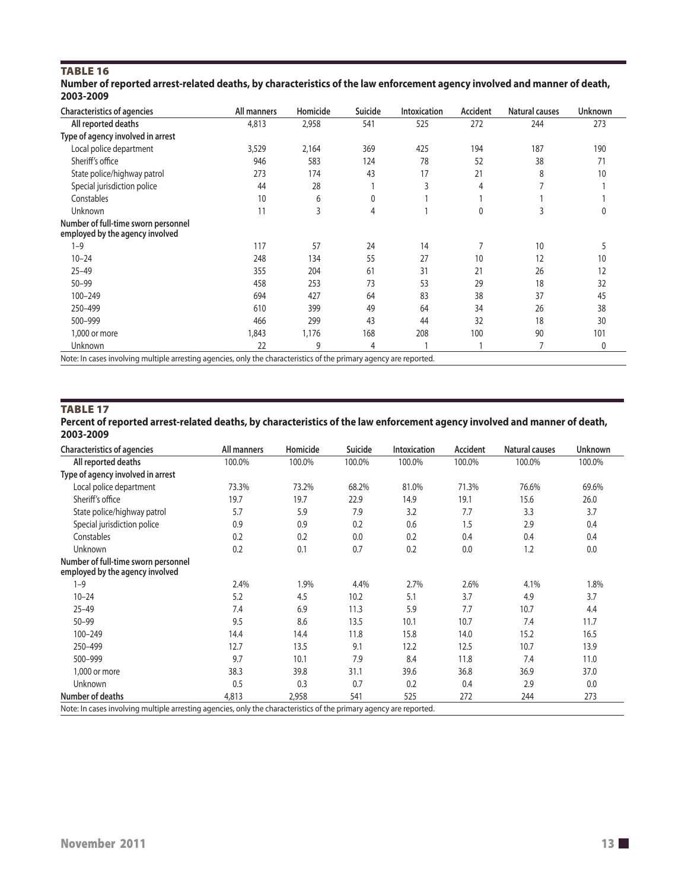## TABLE 16

| Number of reported arrest-related deaths, by characteristics of the law enforcement agency involved and manner of death, |  |
|--------------------------------------------------------------------------------------------------------------------------|--|
| 2003-2009                                                                                                                |  |

| <b>Characteristics of agencies</b>                                                                                 | All manners | Homicide | <b>Suicide</b> | <b>Intoxication</b> | Accident | Natural causes | <b>Unknown</b> |
|--------------------------------------------------------------------------------------------------------------------|-------------|----------|----------------|---------------------|----------|----------------|----------------|
| All reported deaths                                                                                                | 4,813       | 2,958    | 541            | 525                 | 272      | 244            | 273            |
| Type of agency involved in arrest                                                                                  |             |          |                |                     |          |                |                |
| Local police department                                                                                            | 3,529       | 2,164    | 369            | 425                 | 194      | 187            | 190            |
| Sheriff's office                                                                                                   | 946         | 583      | 124            | 78                  | 52       | 38             | 71             |
| State police/highway patrol                                                                                        | 273         | 174      | 43             | 17                  | 21       | 8              | 10             |
| Special jurisdiction police                                                                                        | 44          | 28       |                | 3                   | 4        |                |                |
| Constables                                                                                                         | 10          | 6        | 0              |                     |          |                |                |
| Unknown                                                                                                            | 11          | 3        | 4              |                     | 0        | 3              |                |
| Number of full-time sworn personnel<br>employed by the agency involved                                             |             |          |                |                     |          |                |                |
| $1 - 9$                                                                                                            | 117         | 57       | 24             | 14                  | 7        | 10             |                |
| $10 - 24$                                                                                                          | 248         | 134      | 55             | 27                  | 10       | 12             | 10             |
| $25 - 49$                                                                                                          | 355         | 204      | 61             | 31                  | 21       | 26             | 12             |
| $50 - 99$                                                                                                          | 458         | 253      | 73             | 53                  | 29       | 18             | 32             |
| 100-249                                                                                                            | 694         | 427      | 64             | 83                  | 38       | 37             | 45             |
| 250-499                                                                                                            | 610         | 399      | 49             | 64                  | 34       | 26             | 38             |
| 500-999                                                                                                            | 466         | 299      | 43             | 44                  | 32       | 18             | 30             |
| 1,000 or more                                                                                                      | 1,843       | 1,176    | 168            | 208                 | 100      | 90             | 101            |
| Unknown                                                                                                            | 22          | 9        | 4              |                     |          |                | 0              |
| Note: In cases involving multiple arresting agencies, only the characteristics of the primary agency are reported. |             |          |                |                     |          |                |                |

#### TABLE 17

**Percent of reported arrest-related deaths, by characteristics of the law enforcement agency involved and manner of death, 2003-2009**

| <b>Characteristics of agencies</b>                                                                                 | All manners | Homicide | Suicide | <b>Intoxication</b> | Accident | <b>Natural causes</b> | Unknown |
|--------------------------------------------------------------------------------------------------------------------|-------------|----------|---------|---------------------|----------|-----------------------|---------|
| All reported deaths                                                                                                | 100.0%      | 100.0%   | 100.0%  | 100.0%              | 100.0%   | 100.0%                | 100.0%  |
| Type of agency involved in arrest                                                                                  |             |          |         |                     |          |                       |         |
| Local police department                                                                                            | 73.3%       | 73.2%    | 68.2%   | 81.0%               | 71.3%    | 76.6%                 | 69.6%   |
| Sheriff's office                                                                                                   | 19.7        | 19.7     | 22.9    | 14.9                | 19.1     | 15.6                  | 26.0    |
| State police/highway patrol                                                                                        | 5.7         | 5.9      | 7.9     | 3.2                 | 7.7      | 3.3                   | 3.7     |
| Special jurisdiction police                                                                                        | 0.9         | 0.9      | 0.2     | 0.6                 | 1.5      | 2.9                   | 0.4     |
| Constables                                                                                                         | 0.2         | 0.2      | 0.0     | 0.2                 | 0.4      | 0.4                   | 0.4     |
| Unknown                                                                                                            | 0.2         | 0.1      | 0.7     | 0.2                 | 0.0      | 1.2                   | 0.0     |
| Number of full-time sworn personnel<br>employed by the agency involved                                             |             |          |         |                     |          |                       |         |
| $1 - 9$                                                                                                            | 2.4%        | 1.9%     | 4.4%    | 2.7%                | 2.6%     | 4.1%                  | 1.8%    |
| $10 - 24$                                                                                                          | 5.2         | 4.5      | 10.2    | 5.1                 | 3.7      | 4.9                   | 3.7     |
| $25 - 49$                                                                                                          | 7.4         | 6.9      | 11.3    | 5.9                 | 7.7      | 10.7                  | 4.4     |
| $50 - 99$                                                                                                          | 9.5         | 8.6      | 13.5    | 10.1                | 10.7     | 7.4                   | 11.7    |
| 100-249                                                                                                            | 14.4        | 14.4     | 11.8    | 15.8                | 14.0     | 15.2                  | 16.5    |
| 250-499                                                                                                            | 12.7        | 13.5     | 9.1     | 12.2                | 12.5     | 10.7                  | 13.9    |
| 500-999                                                                                                            | 9.7         | 10.1     | 7.9     | 8.4                 | 11.8     | 7.4                   | 11.0    |
| 1,000 or more                                                                                                      | 38.3        | 39.8     | 31.1    | 39.6                | 36.8     | 36.9                  | 37.0    |
| Unknown                                                                                                            | 0.5         | 0.3      | 0.7     | 0.2                 | 0.4      | 2.9                   | 0.0     |
| Number of deaths                                                                                                   | 4,813       | 2,958    | 541     | 525                 | 272      | 244                   | 273     |
| Note: In cases involving multiple arresting agencies, only the characteristics of the primary agency are reported. |             |          |         |                     |          |                       |         |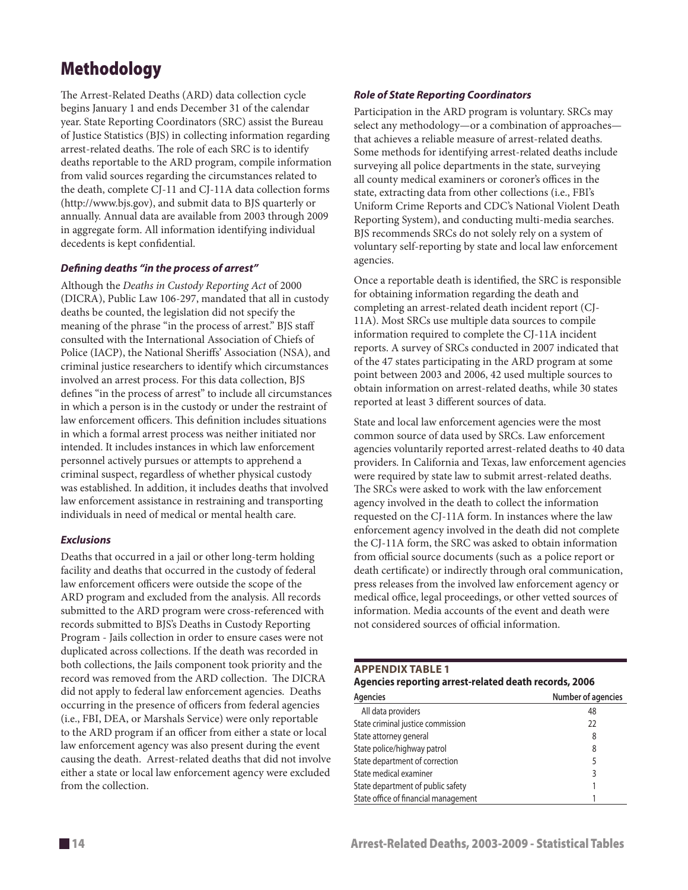# Methodology

The Arrest-Related Deaths (ARD) data collection cycle begins January 1 and ends December 31 of the calendar year. State Reporting Coordinators (SRC) assist the Bureau of Justice Statistics (BJS) in collecting information regarding arrest-related deaths. The role of each SRC is to identify deaths reportable to the ARD program, compile information from valid sources regarding the circumstances related to the death, complete CJ-11 and CJ-11A data collection forms (http://www.bjs.gov), and submit data to BJS quarterly or annually. Annual data are available from 2003 through 2009 in aggregate form. All information identifying individual decedents is kept confidential.

#### *Defining deaths "in the process of arrest"*

Although the *Deaths in Custody Reporting Act* of 2000 (DICRA), Public Law 106-297, mandated that all in custody deaths be counted, the legislation did not specify the meaning of the phrase "in the process of arrest." BJS staff consulted with the International Association of Chiefs of Police (IACP), the National Sheriffs' Association (NSA), and criminal justice researchers to identify which circumstances involved an arrest process. For this data collection, BJS defines "in the process of arrest" to include all circumstances in which a person is in the custody or under the restraint of law enforcement officers. This definition includes situations in which a formal arrest process was neither initiated nor intended. It includes instances in which law enforcement personnel actively pursues or attempts to apprehend a criminal suspect, regardless of whether physical custody was established. In addition, it includes deaths that involved law enforcement assistance in restraining and transporting individuals in need of medical or mental health care.

#### *Exclusions*

Deaths that occurred in a jail or other long-term holding facility and deaths that occurred in the custody of federal law enforcement officers were outside the scope of the ARD program and excluded from the analysis. All records submitted to the ARD program were cross-referenced with records submitted to BJS's Deaths in Custody Reporting Program - Jails collection in order to ensure cases were not duplicated across collections. If the death was recorded in both collections, the Jails component took priority and the record was removed from the ARD collection. The DICRA did not apply to federal law enforcement agencies. Deaths occurring in the presence of officers from federal agencies (i.e., FBI, DEA, or Marshals Service) were only reportable to the ARD program if an officer from either a state or local law enforcement agency was also present during the event causing the death. Arrest-related deaths that did not involve either a state or local law enforcement agency were excluded from the collection.

#### *Role of State Reporting Coordinators*

Participation in the ARD program is voluntary. SRCs may select any methodology—or a combination of approaches that achieves a reliable measure of arrest-related deaths. Some methods for identifying arrest-related deaths include surveying all police departments in the state, surveying all county medical examiners or coroner's offices in the state, extracting data from other collections (i.e., FBI's Uniform Crime Reports and CDC's National Violent Death Reporting System), and conducting multi-media searches. BJS recommends SRCs do not solely rely on a system of voluntary self-reporting by state and local law enforcement agencies.

Once a reportable death is identified, the SRC is responsible for obtaining information regarding the death and completing an arrest-related death incident report (CJ-11A). Most SRCs use multiple data sources to compile information required to complete the CJ-11A incident reports. A survey of SRCs conducted in 2007 indicated that of the 47 states participating in the ARD program at some point between 2003 and 2006, 42 used multiple sources to obtain information on arrest-related deaths, while 30 states reported at least 3 different sources of data.

State and local law enforcement agencies were the most common source of data used by SRCs. Law enforcement agencies voluntarily reported arrest-related deaths to 40 data providers. In California and Texas, law enforcement agencies were required by state law to submit arrest-related deaths. The SRCs were asked to work with the law enforcement agency involved in the death to collect the information requested on the CJ-11A form. In instances where the law enforcement agency involved in the death did not complete the CJ-11A form, the SRC was asked to obtain information from official source documents (such as a police report or death certificate) or indirectly through oral communication, press releases from the involved law enforcement agency or medical office, legal proceedings, or other vetted sources of information. Media accounts of the event and death were not considered sources of official information.

#### **Appendix Table 1 Agencies reporting arrest-related death records, 2006**

| Agencies                             | Number of agencies |
|--------------------------------------|--------------------|
| All data providers                   | 48                 |
| State criminal justice commission    | 22                 |
| State attorney general               | 8                  |
| State police/highway patrol          | 8                  |
| State department of correction       | 5                  |
| State medical examiner               | 3                  |
| State department of public safety    |                    |
| State office of financial management |                    |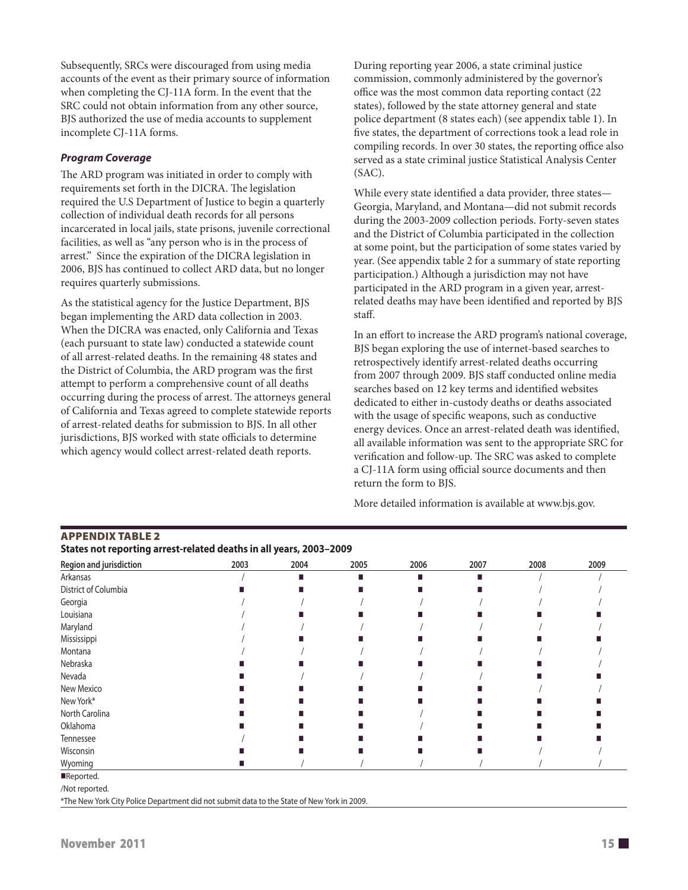Subsequently, SRCs were discouraged from using media accounts of the event as their primary source of information when completing the CJ-11A form. In the event that the SRC could not obtain information from any other source, BJS authorized the use of media accounts to supplement incomplete CJ-11A forms.

#### *Program Coverage*

The ARD program was initiated in order to comply with requirements set forth in the DICRA. The legislation required the U.S Department of Justice to begin a quarterly collection of individual death records for all persons incarcerated in local jails, state prisons, juvenile correctional facilities, as well as "any person who is in the process of arrest." Since the expiration of the DICRA legislation in 2006, BJS has continued to collect ARD data, but no longer requires quarterly submissions.

As the statistical agency for the Justice Department, BJS began implementing the ARD data collection in 2003. When the DICRA was enacted, only California and Texas (each pursuant to state law) conducted a statewide count of all arrest-related deaths. In the remaining 48 states and the District of Columbia, the ARD program was the first attempt to perform a comprehensive count of all deaths occurring during the process of arrest. The attorneys general of California and Texas agreed to complete statewide reports of arrest-related deaths for submission to BJS. In all other jurisdictions, BJS worked with state officials to determine which agency would collect arrest-related death reports.

During reporting year 2006, a state criminal justice commission, commonly administered by the governor's office was the most common data reporting contact (22 states), followed by the state attorney general and state police department (8 states each) (see appendix table 1). In five states, the department of corrections took a lead role in compiling records. In over 30 states, the reporting office also served as a state criminal justice Statistical Analysis Center (SAC).

While every state identified a data provider, three states— Georgia, Maryland, and Montana—did not submit records during the 2003-2009 collection periods. Forty-seven states and the District of Columbia participated in the collection at some point, but the participation of some states varied by year. (See appendix table 2 for a summary of state reporting participation.) Although a jurisdiction may not have participated in the ARD program in a given year, arrestrelated deaths may have been identified and reported by BJS staff.

In an effort to increase the ARD program's national coverage, BJS began exploring the use of internet-based searches to retrospectively identify arrest-related deaths occurring from 2007 through 2009. BJS staff conducted online media searches based on 12 key terms and identified websites dedicated to either in-custody deaths or deaths associated with the usage of specific weapons, such as conductive energy devices. Once an arrest-related death was identified, all available information was sent to the appropriate SRC for verification and follow-up. The SRC was asked to complete a CJ-11A form using official source documents and then return the form to BJS.

More detailed information is available at www.bjs.gov.

| States not reporting arrest-related deaths in all years, 2003–2009 |      |      |      |      |      |      |      |
|--------------------------------------------------------------------|------|------|------|------|------|------|------|
| Region and jurisdiction                                            | 2003 | 2004 | 2005 | 2006 | 2007 | 2008 | 2009 |
| Arkansas                                                           |      |      |      |      |      |      |      |
| District of Columbia                                               |      |      |      |      |      |      |      |
| Georgia                                                            |      |      |      |      |      |      |      |
| Louisiana                                                          |      |      |      |      |      |      |      |
| Maryland                                                           |      |      |      |      |      |      |      |
| Mississippi                                                        |      |      |      |      |      |      |      |
| Montana                                                            |      |      |      |      |      |      |      |
| Nebraska                                                           |      |      |      |      |      |      |      |
| Nevada                                                             |      |      |      |      |      |      |      |
| New Mexico                                                         |      |      |      |      |      |      |      |
| New York*                                                          |      |      |      |      |      |      |      |
| North Carolina                                                     |      |      |      |      |      |      |      |
| Oklahoma                                                           |      |      |      |      |      |      |      |
| Tennessee                                                          |      |      |      |      |      |      |      |
| Wisconsin                                                          |      |      |      |      |      |      |      |
| Wyoming                                                            |      |      |      |      |      |      |      |
| Reported.                                                          |      |      |      |      |      |      |      |

/Not reported.

\*The New York City Police Department did not submit data to the State of New York in 2009.

# November 2011  $\blacksquare$  15  $\blacksquare$

Appendix table 2